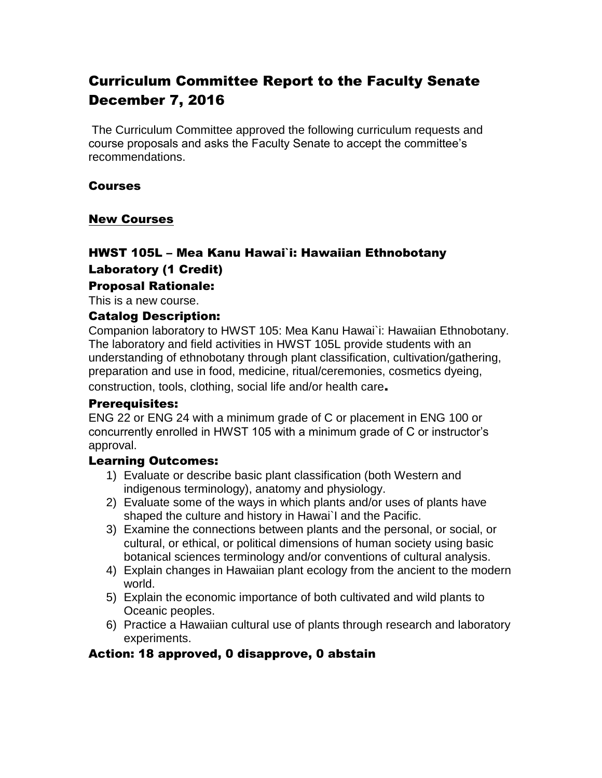# Curriculum Committee Report to the Faculty Senate December 7, 2016

The Curriculum Committee approved the following curriculum requests and course proposals and asks the Faculty Senate to accept the committee's recommendations.

#### Courses

#### New Courses

## HWST 105L – Mea Kanu Hawai`i: Hawaiian Ethnobotany Laboratory (1 Credit)

#### Proposal Rationale:

This is a new course.

#### Catalog Description:

Companion laboratory to HWST 105: Mea Kanu Hawai`i: Hawaiian Ethnobotany. The laboratory and field activities in HWST 105L provide students with an understanding of ethnobotany through plant classification, cultivation/gathering, preparation and use in food, medicine, ritual/ceremonies, cosmetics dyeing, construction, tools, clothing, social life and/or health care.

#### Prerequisites:

ENG 22 or ENG 24 with a minimum grade of C or placement in ENG 100 or concurrently enrolled in HWST 105 with a minimum grade of C or instructor's approval.

#### Learning Outcomes:

- 1) Evaluate or describe basic plant classification (both Western and indigenous terminology), anatomy and physiology.
- 2) Evaluate some of the ways in which plants and/or uses of plants have shaped the culture and history in Hawai`I and the Pacific.
- 3) Examine the connections between plants and the personal, or social, or cultural, or ethical, or political dimensions of human society using basic botanical sciences terminology and/or conventions of cultural analysis.
- 4) Explain changes in Hawaiian plant ecology from the ancient to the modern world.
- 5) Explain the economic importance of both cultivated and wild plants to Oceanic peoples.
- 6) Practice a Hawaiian cultural use of plants through research and laboratory experiments.

## Action: 18 approved, 0 disapprove, 0 abstain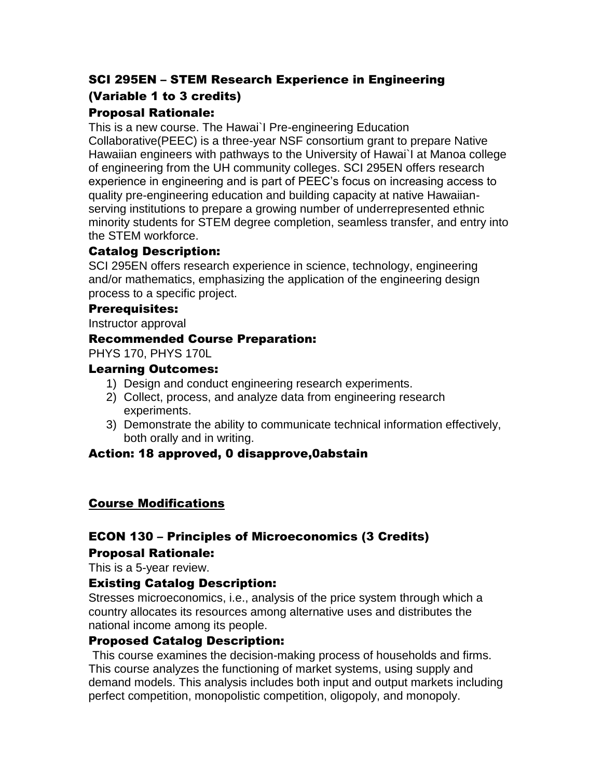# SCI 295EN – STEM Research Experience in Engineering (Variable 1 to 3 credits)

## Proposal Rationale:

This is a new course. The Hawai`I Pre-engineering Education Collaborative(PEEC) is a three-year NSF consortium grant to prepare Native Hawaiian engineers with pathways to the University of Hawai`I at Manoa college of engineering from the UH community colleges. SCI 295EN offers research experience in engineering and is part of PEEC's focus on increasing access to quality pre-engineering education and building capacity at native Hawaiianserving institutions to prepare a growing number of underrepresented ethnic minority students for STEM degree completion, seamless transfer, and entry into the STEM workforce.

## Catalog Description:

SCI 295EN offers research experience in science, technology, engineering and/or mathematics, emphasizing the application of the engineering design process to a specific project.

#### Prerequisites:

Instructor approval

## Recommended Course Preparation:

PHYS 170, PHYS 170L

## Learning Outcomes:

- 1) Design and conduct engineering research experiments.
- 2) Collect, process, and analyze data from engineering research experiments.
- 3) Demonstrate the ability to communicate technical information effectively, both orally and in writing.

## Action: 18 approved, 0 disapprove,0abstain

## Course Modifications

## ECON 130 – Principles of Microeconomics (3 Credits)

## Proposal Rationale:

This is a 5-year review.

## Existing Catalog Description:

Stresses microeconomics, i.e., analysis of the price system through which a country allocates its resources among alternative uses and distributes the national income among its people.

## Proposed Catalog Description:

This course examines the decision-making process of households and firms. This course analyzes the functioning of market systems, using supply and demand models. This analysis includes both input and output markets including perfect competition, monopolistic competition, oligopoly, and monopoly.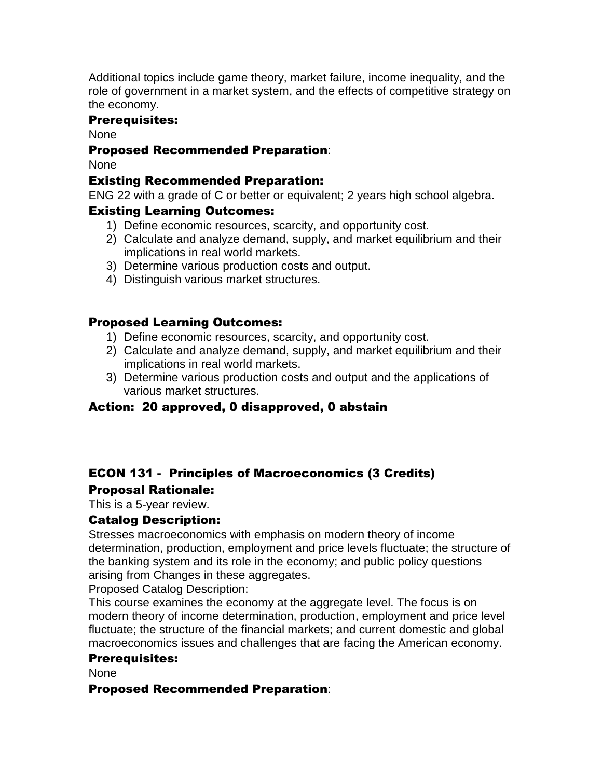Additional topics include game theory, market failure, income inequality, and the role of government in a market system, and the effects of competitive strategy on the economy.

## Prerequisites:

None

## Proposed Recommended Preparation:

None

## Existing Recommended Preparation:

ENG 22 with a grade of C or better or equivalent; 2 years high school algebra.

## Existing Learning Outcomes:

- 1) Define economic resources, scarcity, and opportunity cost.
- 2) Calculate and analyze demand, supply, and market equilibrium and their implications in real world markets.
- 3) Determine various production costs and output.
- 4) Distinguish various market structures.

## Proposed Learning Outcomes:

- 1) Define economic resources, scarcity, and opportunity cost.
- 2) Calculate and analyze demand, supply, and market equilibrium and their implications in real world markets.
- 3) Determine various production costs and output and the applications of various market structures.

## Action: 20 approved, 0 disapproved, 0 abstain

# ECON 131 - Principles of Macroeconomics (3 Credits) Proposal Rationale:

This is a 5-year review.

## Catalog Description:

Stresses macroeconomics with emphasis on modern theory of income determination, production, employment and price levels fluctuate; the structure of the banking system and its role in the economy; and public policy questions arising from Changes in these aggregates.

Proposed Catalog Description:

This course examines the economy at the aggregate level. The focus is on modern theory of income determination, production, employment and price level fluctuate; the structure of the financial markets; and current domestic and global macroeconomics issues and challenges that are facing the American economy.

## Prerequisites:

None

## Proposed Recommended Preparation: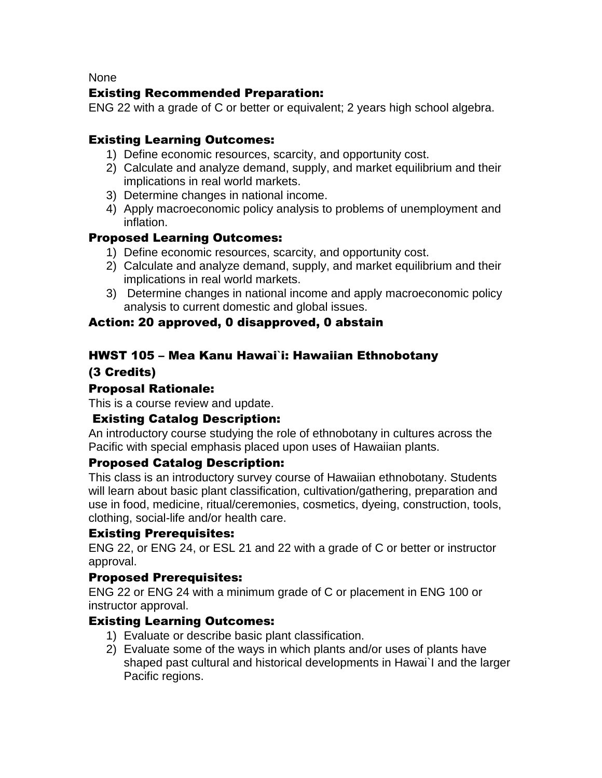None

## Existing Recommended Preparation:

ENG 22 with a grade of C or better or equivalent; 2 years high school algebra.

## Existing Learning Outcomes:

- 1) Define economic resources, scarcity, and opportunity cost.
- 2) Calculate and analyze demand, supply, and market equilibrium and their implications in real world markets.
- 3) Determine changes in national income.
- 4) Apply macroeconomic policy analysis to problems of unemployment and inflation.

# Proposed Learning Outcomes:

- 1) Define economic resources, scarcity, and opportunity cost.
- 2) Calculate and analyze demand, supply, and market equilibrium and their implications in real world markets.
- 3) Determine changes in national income and apply macroeconomic policy analysis to current domestic and global issues.

## Action: 20 approved, 0 disapproved, 0 abstain

# HWST 105 – Mea Kanu Hawai`i: Hawaiian Ethnobotany

## (3 Credits)

## Proposal Rationale:

This is a course review and update.

## Existing Catalog Description:

An introductory course studying the role of ethnobotany in cultures across the Pacific with special emphasis placed upon uses of Hawaiian plants.

## Proposed Catalog Description:

This class is an introductory survey course of Hawaiian ethnobotany. Students will learn about basic plant classification, cultivation/gathering, preparation and use in food, medicine, ritual/ceremonies, cosmetics, dyeing, construction, tools, clothing, social-life and/or health care.

## Existing Prerequisites:

ENG 22, or ENG 24, or ESL 21 and 22 with a grade of C or better or instructor approval.

## Proposed Prerequisites:

ENG 22 or ENG 24 with a minimum grade of C or placement in ENG 100 or instructor approval.

## Existing Learning Outcomes:

- 1) Evaluate or describe basic plant classification.
- 2) Evaluate some of the ways in which plants and/or uses of plants have shaped past cultural and historical developments in Hawai`I and the larger Pacific regions.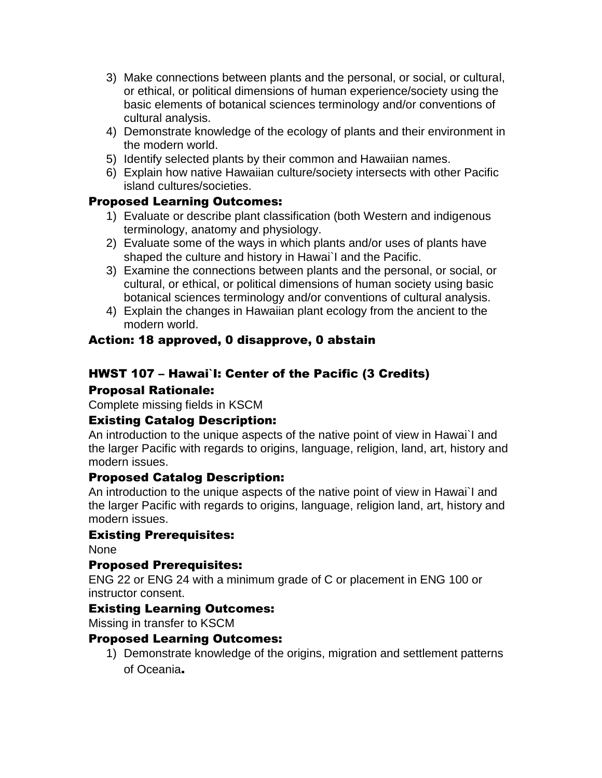- 3) Make connections between plants and the personal, or social, or cultural, or ethical, or political dimensions of human experience/society using the basic elements of botanical sciences terminology and/or conventions of cultural analysis.
- 4) Demonstrate knowledge of the ecology of plants and their environment in the modern world.
- 5) Identify selected plants by their common and Hawaiian names.
- 6) Explain how native Hawaiian culture/society intersects with other Pacific island cultures/societies.

# Proposed Learning Outcomes:

- 1) Evaluate or describe plant classification (both Western and indigenous terminology, anatomy and physiology.
- 2) Evaluate some of the ways in which plants and/or uses of plants have shaped the culture and history in Hawai`I and the Pacific.
- 3) Examine the connections between plants and the personal, or social, or cultural, or ethical, or political dimensions of human society using basic botanical sciences terminology and/or conventions of cultural analysis.
- 4) Explain the changes in Hawaiian plant ecology from the ancient to the modern world.

# Action: 18 approved, 0 disapprove, 0 abstain

# HWST 107 – Hawai`I: Center of the Pacific (3 Credits)

## Proposal Rationale:

Complete missing fields in KSCM

## Existing Catalog Description:

An introduction to the unique aspects of the native point of view in Hawai`I and the larger Pacific with regards to origins, language, religion, land, art, history and modern issues.

## Proposed Catalog Description:

An introduction to the unique aspects of the native point of view in Hawai`I and the larger Pacific with regards to origins, language, religion land, art, history and modern issues.

## Existing Prerequisites:

None

## Proposed Prerequisites:

ENG 22 or ENG 24 with a minimum grade of C or placement in ENG 100 or instructor consent.

## Existing Learning Outcomes:

Missing in transfer to KSCM

## Proposed Learning Outcomes:

1) Demonstrate knowledge of the origins, migration and settlement patterns of Oceania.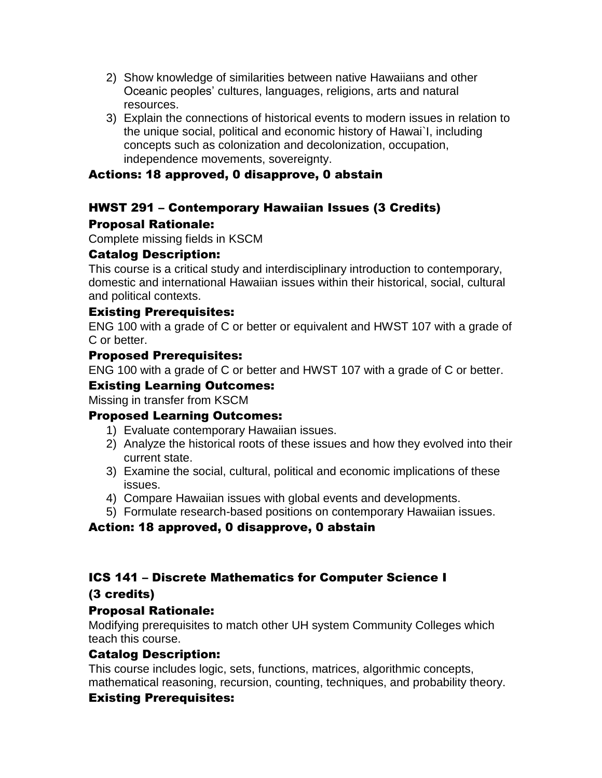- 2) Show knowledge of similarities between native Hawaiians and other Oceanic peoples' cultures, languages, religions, arts and natural resources.
- 3) Explain the connections of historical events to modern issues in relation to the unique social, political and economic history of Hawai`I, including concepts such as colonization and decolonization, occupation, independence movements, sovereignty.

## Actions: 18 approved, 0 disapprove, 0 abstain

# HWST 291 – Contemporary Hawaiian Issues (3 Credits)

## Proposal Rationale:

Complete missing fields in KSCM

## Catalog Description:

This course is a critical study and interdisciplinary introduction to contemporary, domestic and international Hawaiian issues within their historical, social, cultural and political contexts.

## Existing Prerequisites:

ENG 100 with a grade of C or better or equivalent and HWST 107 with a grade of C or better.

## Proposed Prerequisites:

ENG 100 with a grade of C or better and HWST 107 with a grade of C or better.

#### Existing Learning Outcomes:

Missing in transfer from KSCM

## Proposed Learning Outcomes:

- 1) Evaluate contemporary Hawaiian issues.
- 2) Analyze the historical roots of these issues and how they evolved into their current state.
- 3) Examine the social, cultural, political and economic implications of these issues.
- 4) Compare Hawaiian issues with global events and developments.
- 5) Formulate research-based positions on contemporary Hawaiian issues.

## Action: 18 approved, 0 disapprove, 0 abstain

## ICS 141 – Discrete Mathematics for Computer Science I

## (3 credits)

## Proposal Rationale:

Modifying prerequisites to match other UH system Community Colleges which teach this course.

## Catalog Description:

This course includes logic, sets, functions, matrices, algorithmic concepts, mathematical reasoning, recursion, counting, techniques, and probability theory.

## Existing Prerequisites: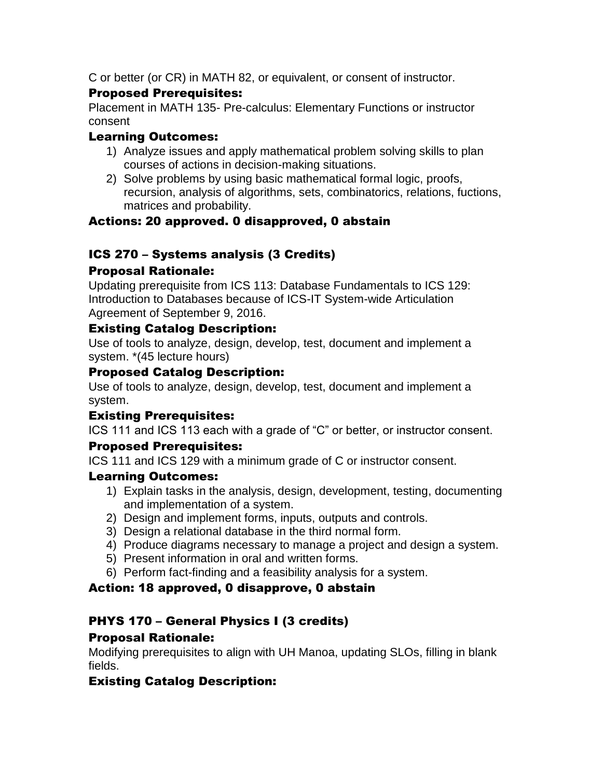C or better (or CR) in MATH 82, or equivalent, or consent of instructor.

# Proposed Prerequisites:

Placement in MATH 135- Pre-calculus: Elementary Functions or instructor consent

# Learning Outcomes:

- 1) Analyze issues and apply mathematical problem solving skills to plan courses of actions in decision-making situations.
- 2) Solve problems by using basic mathematical formal logic, proofs, recursion, analysis of algorithms, sets, combinatorics, relations, fuctions, matrices and probability.

# Actions: 20 approved. 0 disapproved, 0 abstain

# ICS 270 – Systems analysis (3 Credits)

## Proposal Rationale:

Updating prerequisite from ICS 113: Database Fundamentals to ICS 129: Introduction to Databases because of ICS-IT System-wide Articulation Agreement of September 9, 2016.

## Existing Catalog Description:

Use of tools to analyze, design, develop, test, document and implement a system. \*(45 lecture hours)

## Proposed Catalog Description:

Use of tools to analyze, design, develop, test, document and implement a system.

# Existing Prerequisites:

ICS 111 and ICS 113 each with a grade of "C" or better, or instructor consent.

## Proposed Prerequisites:

ICS 111 and ICS 129 with a minimum grade of C or instructor consent.

## Learning Outcomes:

- 1) Explain tasks in the analysis, design, development, testing, documenting and implementation of a system.
- 2) Design and implement forms, inputs, outputs and controls.
- 3) Design a relational database in the third normal form.
- 4) Produce diagrams necessary to manage a project and design a system.
- 5) Present information in oral and written forms.
- 6) Perform fact-finding and a feasibility analysis for a system.

# Action: 18 approved, 0 disapprove, 0 abstain

# PHYS 170 – General Physics I (3 credits)

## Proposal Rationale:

Modifying prerequisites to align with UH Manoa, updating SLOs, filling in blank fields.

## Existing Catalog Description: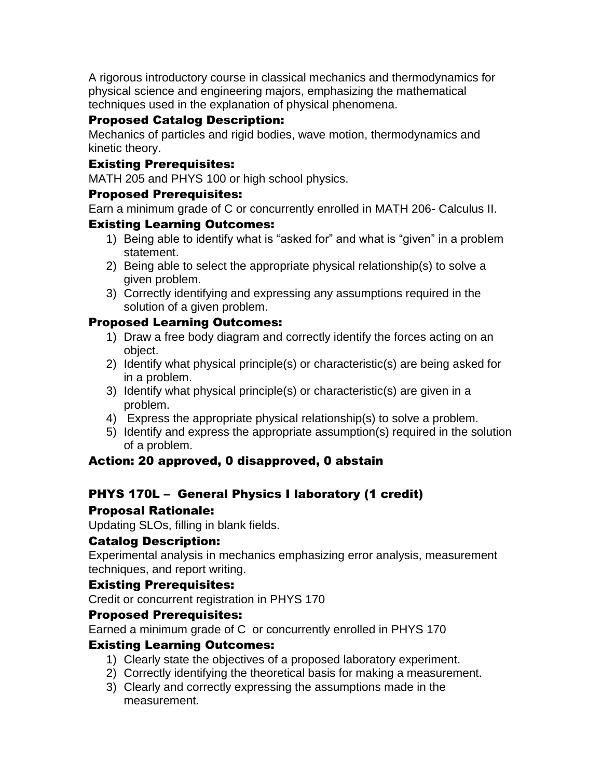A rigorous introductory course in classical mechanics and thermodynamics for physical science and engineering majors, emphasizing the mathematical techniques used in the explanation of physical phenomena.

# Proposed Catalog Description:

Mechanics of particles and rigid bodies, wave motion, thermodynamics and kinetic theory.

## Existing Prerequisites:

MATH 205 and PHYS 100 or high school physics.

## Proposed Prerequisites:

Earn a minimum grade of C or concurrently enrolled in MATH 206- Calculus II.

## Existing Learning Outcomes:

- 1) Being able to identify what is "asked for" and what is "given" in a problem statement.
- 2) Being able to select the appropriate physical relationship(s) to solve a given problem.
- 3) Correctly identifying and expressing any assumptions required in the solution of a given problem.

## Proposed Learning Outcomes:

- 1) Draw a free body diagram and correctly identify the forces acting on an object.
- 2) Identify what physical principle(s) or characteristic(s) are being asked for in a problem.
- 3) Identify what physical principle(s) or characteristic(s) are given in a problem.
- 4) Express the appropriate physical relationship(s) to solve a problem.
- 5) Identify and express the appropriate assumption(s) required in the solution of a problem.

## Action: 20 approved, 0 disapproved, 0 abstain

# PHYS 170L – General Physics I laboratory (1 credit)

## Proposal Rationale:

Updating SLOs, filling in blank fields.

## Catalog Description:

Experimental analysis in mechanics emphasizing error analysis, measurement techniques, and report writing.

## Existing Prerequisites:

Credit or concurrent registration in PHYS 170

## Proposed Prerequisites:

Earned a minimum grade of C or concurrently enrolled in PHYS 170

## Existing Learning Outcomes:

- 1) Clearly state the objectives of a proposed laboratory experiment.
- 2) Correctly identifying the theoretical basis for making a measurement.
- 3) Clearly and correctly expressing the assumptions made in the measurement.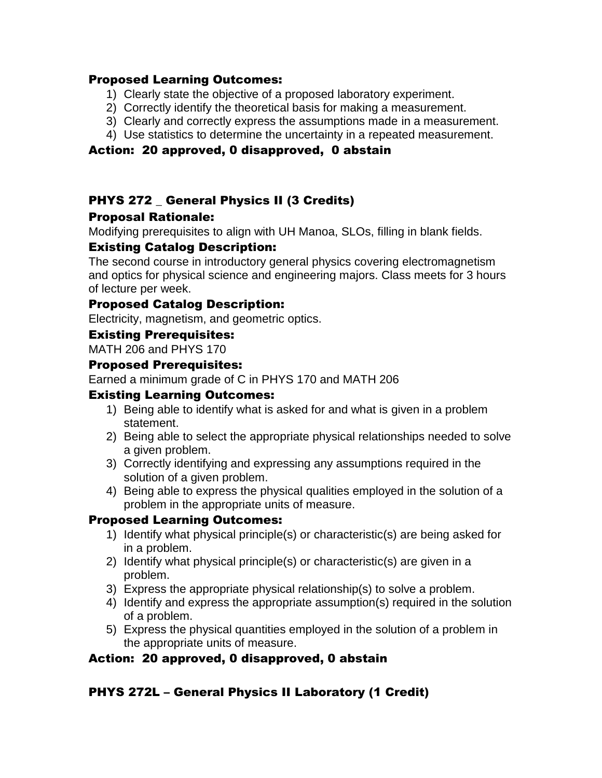#### Proposed Learning Outcomes:

- 1) Clearly state the objective of a proposed laboratory experiment.
- 2) Correctly identify the theoretical basis for making a measurement.
- 3) Clearly and correctly express the assumptions made in a measurement.
- 4) Use statistics to determine the uncertainty in a repeated measurement.

## Action: 20 approved, 0 disapproved, 0 abstain

# PHYS 272 General Physics II (3 Credits)

## Proposal Rationale:

Modifying prerequisites to align with UH Manoa, SLOs, filling in blank fields.

## Existing Catalog Description:

The second course in introductory general physics covering electromagnetism and optics for physical science and engineering majors. Class meets for 3 hours of lecture per week.

#### Proposed Catalog Description:

Electricity, magnetism, and geometric optics.

## Existing Prerequisites:

MATH 206 and PHYS 170

## Proposed Prerequisites:

Earned a minimum grade of C in PHYS 170 and MATH 206

## Existing Learning Outcomes:

- 1) Being able to identify what is asked for and what is given in a problem statement.
- 2) Being able to select the appropriate physical relationships needed to solve a given problem.
- 3) Correctly identifying and expressing any assumptions required in the solution of a given problem.
- 4) Being able to express the physical qualities employed in the solution of a problem in the appropriate units of measure.

## Proposed Learning Outcomes:

- 1) Identify what physical principle(s) or characteristic(s) are being asked for in a problem.
- 2) Identify what physical principle(s) or characteristic(s) are given in a problem.
- 3) Express the appropriate physical relationship(s) to solve a problem.
- 4) Identify and express the appropriate assumption(s) required in the solution of a problem.
- 5) Express the physical quantities employed in the solution of a problem in the appropriate units of measure.

## Action: 20 approved, 0 disapproved, 0 abstain

## PHYS 272L – General Physics II Laboratory (1 Credit)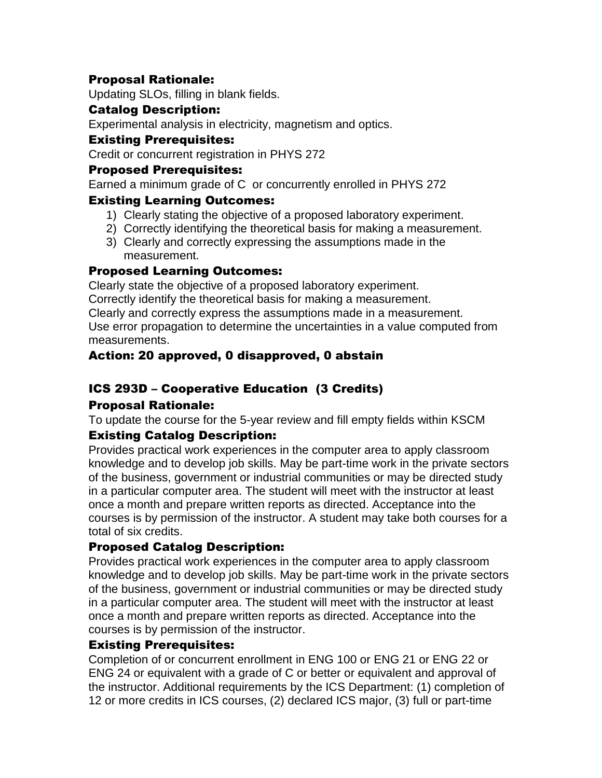## Proposal Rationale:

Updating SLOs, filling in blank fields.

#### Catalog Description:

Experimental analysis in electricity, magnetism and optics.

#### Existing Prerequisites:

Credit or concurrent registration in PHYS 272

## Proposed Prerequisites:

Earned a minimum grade of C or concurrently enrolled in PHYS 272

## Existing Learning Outcomes:

- 1) Clearly stating the objective of a proposed laboratory experiment.
- 2) Correctly identifying the theoretical basis for making a measurement.
- 3) Clearly and correctly expressing the assumptions made in the measurement.

## Proposed Learning Outcomes:

Clearly state the objective of a proposed laboratory experiment.

Correctly identify the theoretical basis for making a measurement.

Clearly and correctly express the assumptions made in a measurement.

Use error propagation to determine the uncertainties in a value computed from measurements.

## Action: 20 approved, 0 disapproved, 0 abstain

# ICS 293D – Cooperative Education (3 Credits)

## Proposal Rationale:

To update the course for the 5-year review and fill empty fields within KSCM

## Existing Catalog Description:

Provides practical work experiences in the computer area to apply classroom knowledge and to develop job skills. May be part-time work in the private sectors of the business, government or industrial communities or may be directed study in a particular computer area. The student will meet with the instructor at least once a month and prepare written reports as directed. Acceptance into the courses is by permission of the instructor. A student may take both courses for a total of six credits.

## Proposed Catalog Description:

Provides practical work experiences in the computer area to apply classroom knowledge and to develop job skills. May be part-time work in the private sectors of the business, government or industrial communities or may be directed study in a particular computer area. The student will meet with the instructor at least once a month and prepare written reports as directed. Acceptance into the courses is by permission of the instructor.

## Existing Prerequisites:

Completion of or concurrent enrollment in ENG 100 or ENG 21 or ENG 22 or ENG 24 or equivalent with a grade of C or better or equivalent and approval of the instructor. Additional requirements by the ICS Department: (1) completion of 12 or more credits in ICS courses, (2) declared ICS major, (3) full or part-time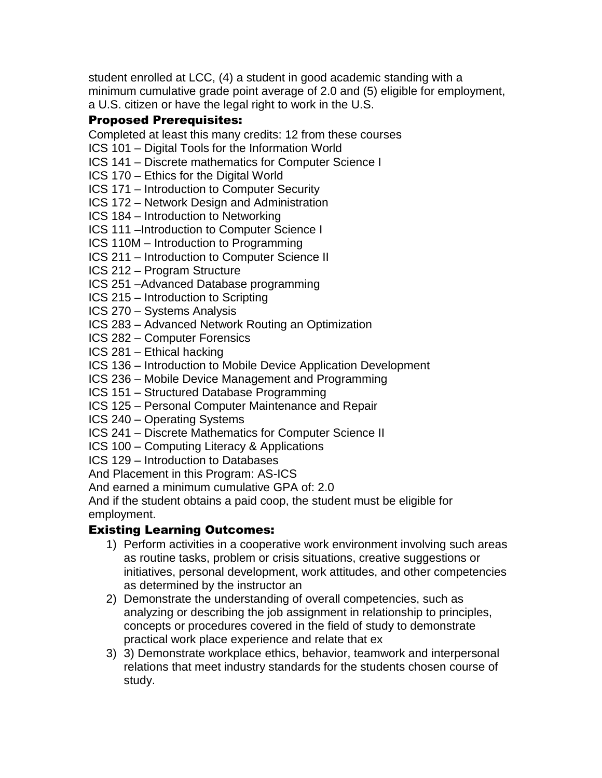student enrolled at LCC, (4) a student in good academic standing with a minimum cumulative grade point average of 2.0 and (5) eligible for employment, a U.S. citizen or have the legal right to work in the U.S.

# Proposed Prerequisites:

Completed at least this many credits: 12 from these courses

- ICS 101 Digital Tools for the Information World
- ICS 141 Discrete mathematics for Computer Science I
- ICS 170 Ethics for the Digital World
- ICS 171 Introduction to Computer Security
- ICS 172 Network Design and Administration
- ICS 184 Introduction to Networking
- ICS 111 –Introduction to Computer Science I
- ICS 110M Introduction to Programming
- ICS 211 Introduction to Computer Science II
- ICS 212 Program Structure
- ICS 251 –Advanced Database programming
- ICS 215 Introduction to Scripting
- ICS 270 Systems Analysis
- ICS 283 Advanced Network Routing an Optimization
- ICS 282 Computer Forensics
- ICS 281 Ethical hacking
- ICS 136 Introduction to Mobile Device Application Development
- ICS 236 Mobile Device Management and Programming
- ICS 151 Structured Database Programming
- ICS 125 Personal Computer Maintenance and Repair
- ICS 240 Operating Systems
- ICS 241 Discrete Mathematics for Computer Science II
- ICS 100 Computing Literacy & Applications
- ICS 129 Introduction to Databases

And Placement in this Program: AS-ICS

And earned a minimum cumulative GPA of: 2.0

And if the student obtains a paid coop, the student must be eligible for employment.

## Existing Learning Outcomes:

- 1) Perform activities in a cooperative work environment involving such areas as routine tasks, problem or crisis situations, creative suggestions or initiatives, personal development, work attitudes, and other competencies as determined by the instructor an
- 2) Demonstrate the understanding of overall competencies, such as analyzing or describing the job assignment in relationship to principles, concepts or procedures covered in the field of study to demonstrate practical work place experience and relate that ex
- 3) 3) Demonstrate workplace ethics, behavior, teamwork and interpersonal relations that meet industry standards for the students chosen course of study.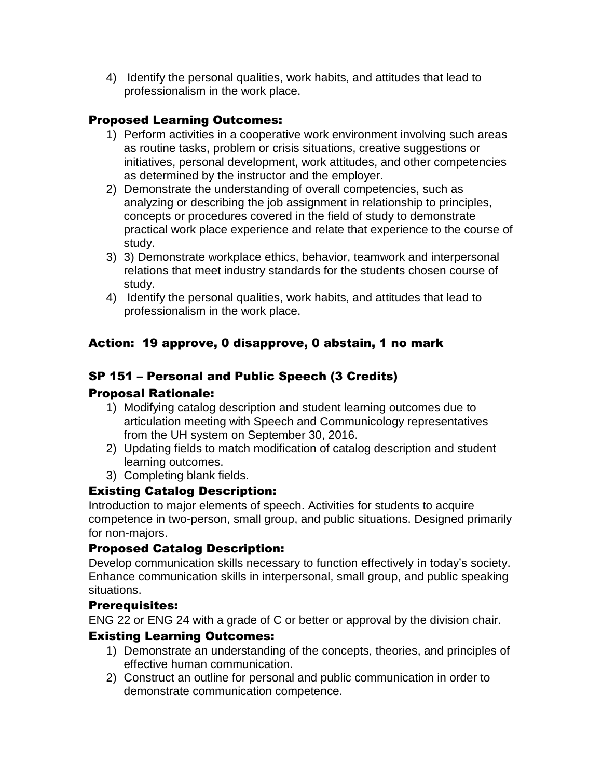4) Identify the personal qualities, work habits, and attitudes that lead to professionalism in the work place.

# Proposed Learning Outcomes:

- 1) Perform activities in a cooperative work environment involving such areas as routine tasks, problem or crisis situations, creative suggestions or initiatives, personal development, work attitudes, and other competencies as determined by the instructor and the employer.
- 2) Demonstrate the understanding of overall competencies, such as analyzing or describing the job assignment in relationship to principles, concepts or procedures covered in the field of study to demonstrate practical work place experience and relate that experience to the course of study.
- 3) 3) Demonstrate workplace ethics, behavior, teamwork and interpersonal relations that meet industry standards for the students chosen course of study.
- 4) Identify the personal qualities, work habits, and attitudes that lead to professionalism in the work place.

# Action: 19 approve, 0 disapprove, 0 abstain, 1 no mark

# SP 151 – Personal and Public Speech (3 Credits)

## Proposal Rationale:

- 1) Modifying catalog description and student learning outcomes due to articulation meeting with Speech and Communicology representatives from the UH system on September 30, 2016.
- 2) Updating fields to match modification of catalog description and student learning outcomes.
- 3) Completing blank fields.

## Existing Catalog Description:

Introduction to major elements of speech. Activities for students to acquire competence in two-person, small group, and public situations. Designed primarily for non-majors.

## Proposed Catalog Description:

Develop communication skills necessary to function effectively in today's society. Enhance communication skills in interpersonal, small group, and public speaking situations.

## Prerequisites:

ENG 22 or ENG 24 with a grade of C or better or approval by the division chair.

## Existing Learning Outcomes:

- 1) Demonstrate an understanding of the concepts, theories, and principles of effective human communication.
- 2) Construct an outline for personal and public communication in order to demonstrate communication competence.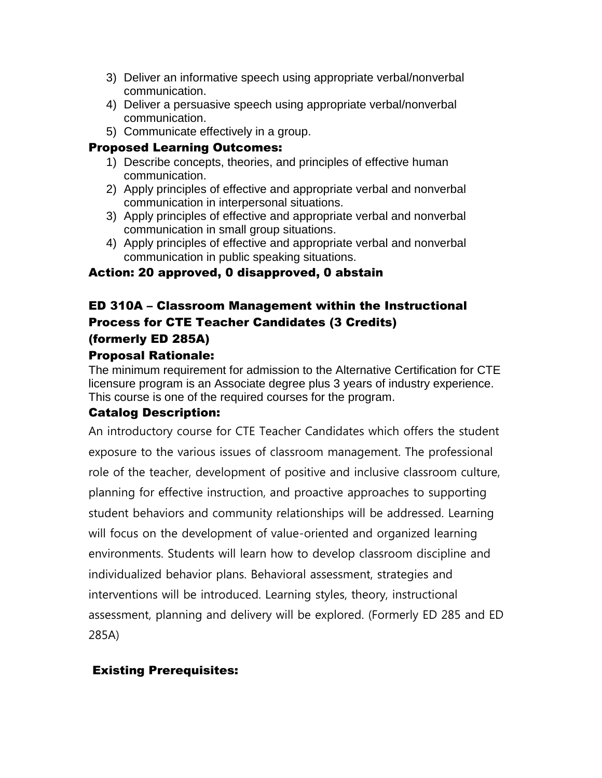- 3) Deliver an informative speech using appropriate verbal/nonverbal communication.
- 4) Deliver a persuasive speech using appropriate verbal/nonverbal communication.
- 5) Communicate effectively in a group.

## Proposed Learning Outcomes:

- 1) Describe concepts, theories, and principles of effective human communication.
- 2) Apply principles of effective and appropriate verbal and nonverbal communication in interpersonal situations.
- 3) Apply principles of effective and appropriate verbal and nonverbal communication in small group situations.
- 4) Apply principles of effective and appropriate verbal and nonverbal communication in public speaking situations.

## Action: 20 approved, 0 disapproved, 0 abstain

# ED 310A – Classroom Management within the Instructional Process for CTE Teacher Candidates (3 Credits) (formerly ED 285A)

## Proposal Rationale:

The minimum requirement for admission to the Alternative Certification for CTE licensure program is an Associate degree plus 3 years of industry experience. This course is one of the required courses for the program.

## Catalog Description:

An introductory course for CTE Teacher Candidates which offers the student exposure to the various issues of classroom management. The professional role of the teacher, development of positive and inclusive classroom culture, planning for effective instruction, and proactive approaches to supporting student behaviors and community relationships will be addressed. Learning will focus on the development of value-oriented and organized learning environments. Students will learn how to develop classroom discipline and individualized behavior plans. Behavioral assessment, strategies and interventions will be introduced. Learning styles, theory, instructional assessment, planning and delivery will be explored. (Formerly ED 285 and ED 285A)

## Existing Prerequisites: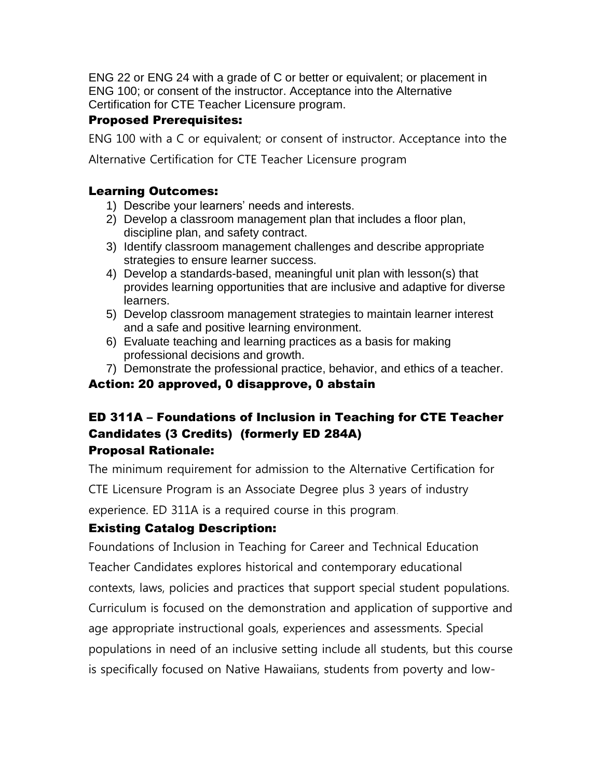ENG 22 or ENG 24 with a grade of C or better or equivalent; or placement in ENG 100; or consent of the instructor. Acceptance into the Alternative Certification for CTE Teacher Licensure program.

## Proposed Prerequisites:

ENG 100 with a C or equivalent; or consent of instructor. Acceptance into the

Alternative Certification for CTE Teacher Licensure program

## Learning Outcomes:

- 1) Describe your learners' needs and interests.
- 2) Develop a classroom management plan that includes a floor plan, discipline plan, and safety contract.
- 3) Identify classroom management challenges and describe appropriate strategies to ensure learner success.
- 4) Develop a standards-based, meaningful unit plan with lesson(s) that provides learning opportunities that are inclusive and adaptive for diverse learners.
- 5) Develop classroom management strategies to maintain learner interest and a safe and positive learning environment.
- 6) Evaluate teaching and learning practices as a basis for making professional decisions and growth.
- 7) Demonstrate the professional practice, behavior, and ethics of a teacher.

## Action: 20 approved, 0 disapprove, 0 abstain

# ED 311A – Foundations of Inclusion in Teaching for CTE Teacher Candidates (3 Credits) (formerly ED 284A) Proposal Rationale:

The minimum requirement for admission to the Alternative Certification for

CTE Licensure Program is an Associate Degree plus 3 years of industry

experience. ED 311A is a required course in this program.

# Existing Catalog Description:

Foundations of Inclusion in Teaching for Career and Technical Education Teacher Candidates explores historical and contemporary educational contexts, laws, policies and practices that support special student populations. Curriculum is focused on the demonstration and application of supportive and age appropriate instructional goals, experiences and assessments. Special populations in need of an inclusive setting include all students, but this course is specifically focused on Native Hawaiians, students from poverty and low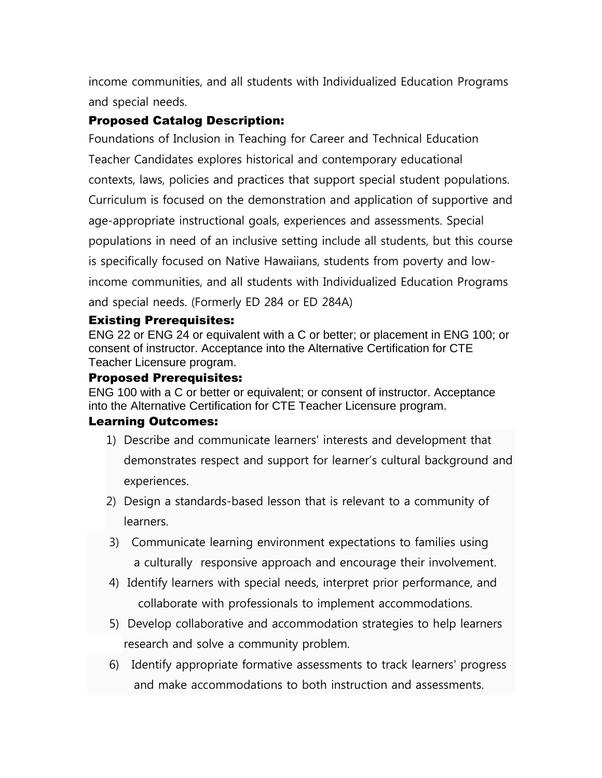income communities, and all students with Individualized Education Programs and special needs.

## Proposed Catalog Description:

Foundations of Inclusion in Teaching for Career and Technical Education Teacher Candidates explores historical and contemporary educational contexts, laws, policies and practices that support special student populations. Curriculum is focused on the demonstration and application of supportive and age-appropriate instructional goals, experiences and assessments. Special populations in need of an inclusive setting include all students, but this course is specifically focused on Native Hawaiians, students from poverty and lowincome communities, and all students with Individualized Education Programs and special needs. (Formerly ED 284 or ED 284A)

#### Existing Prerequisites:

ENG 22 or ENG 24 or equivalent with a C or better; or placement in ENG 100; or consent of instructor. Acceptance into the Alternative Certification for CTE Teacher Licensure program.

#### Proposed Prerequisites:

ENG 100 with a C or better or equivalent; or consent of instructor. Acceptance into the Alternative Certification for CTE Teacher Licensure program.

#### Learning Outcomes:

- 1) Describe and communicate learners' interests and development that demonstrates respect and support for learner's cultural background and experiences.
- 2) Design a standards-based lesson that is relevant to a community of learners.
- 3) Communicate learning environment expectations to families using a culturally responsive approach and encourage their involvement.
- 4) Identify learners with special needs, interpret prior performance, and collaborate with professionals to implement accommodations.
- 5) Develop collaborative and accommodation strategies to help learners research and solve a community problem.
- 6) Identify appropriate formative assessments to track learners' progress and make accommodations to both instruction and assessments.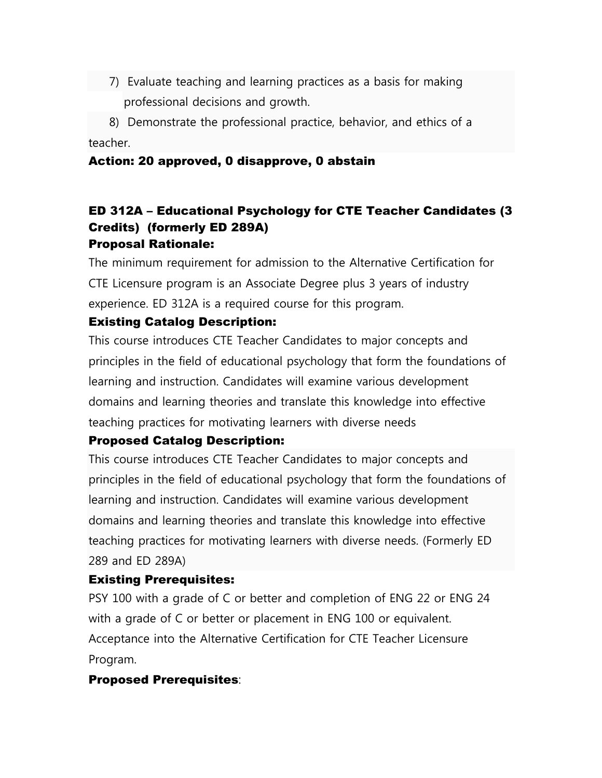7) Evaluate teaching and learning practices as a basis for making professional decisions and growth.

 8) Demonstrate the professional practice, behavior, and ethics of a teacher.

#### Action: 20 approved, 0 disapprove, 0 abstain

## ED 312A – Educational Psychology for CTE Teacher Candidates (3 Credits) (formerly ED 289A) Proposal Rationale:

The minimum requirement for admission to the Alternative Certification for CTE Licensure program is an Associate Degree plus 3 years of industry experience. ED 312A is a required course for this program.

## Existing Catalog Description:

This course introduces CTE Teacher Candidates to major concepts and principles in the field of educational psychology that form the foundations of learning and instruction. Candidates will examine various development domains and learning theories and translate this knowledge into effective teaching practices for motivating learners with diverse needs

#### Proposed Catalog Description:

This course introduces CTE Teacher Candidates to major concepts and principles in the field of educational psychology that form the foundations of learning and instruction. Candidates will examine various development domains and learning theories and translate this knowledge into effective teaching practices for motivating learners with diverse needs. (Formerly ED 289 and ED 289A)

#### Existing Prerequisites:

PSY 100 with a grade of C or better and completion of ENG 22 or ENG 24 with a grade of C or better or placement in ENG 100 or equivalent. Acceptance into the Alternative Certification for CTE Teacher Licensure Program.

#### Proposed Prerequisites: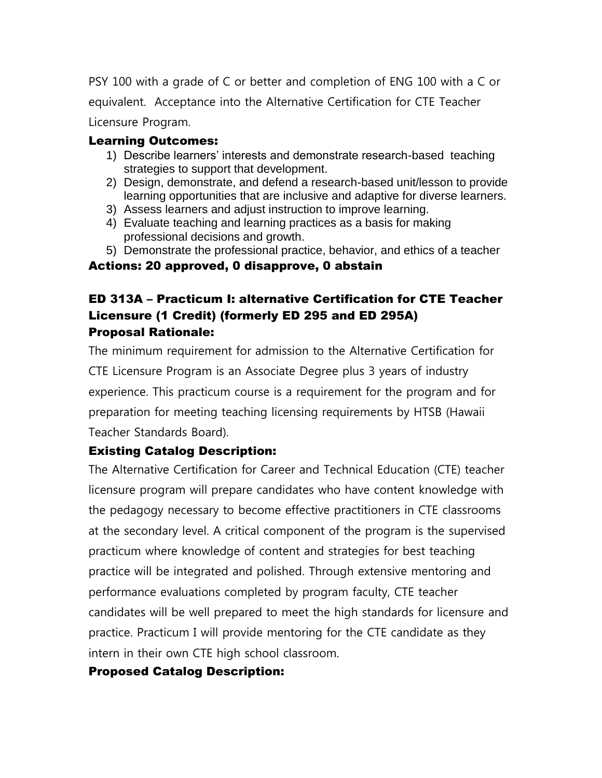PSY 100 with a grade of C or better and completion of ENG 100 with a C or equivalent. Acceptance into the Alternative Certification for CTE Teacher Licensure Program.

## Learning Outcomes:

- 1) Describe learners' interests and demonstrate research-based teaching strategies to support that development.
- 2) Design, demonstrate, and defend a research-based unit/lesson to provide learning opportunities that are inclusive and adaptive for diverse learners.
- 3) Assess learners and adjust instruction to improve learning.
- 4) Evaluate teaching and learning practices as a basis for making professional decisions and growth.
- 5) Demonstrate the professional practice, behavior, and ethics of a teacher

## Actions: 20 approved, 0 disapprove, 0 abstain

# ED 313A – Practicum I: alternative Certification for CTE Teacher Licensure (1 Credit) (formerly ED 295 and ED 295A) Proposal Rationale:

The minimum requirement for admission to the Alternative Certification for CTE Licensure Program is an Associate Degree plus 3 years of industry experience. This practicum course is a requirement for the program and for preparation for meeting teaching licensing requirements by HTSB (Hawaii Teacher Standards Board).

# Existing Catalog Description:

The Alternative Certification for Career and Technical Education (CTE) teacher licensure program will prepare candidates who have content knowledge with the pedagogy necessary to become effective practitioners in CTE classrooms at the secondary level. A critical component of the program is the supervised practicum where knowledge of content and strategies for best teaching practice will be integrated and polished. Through extensive mentoring and performance evaluations completed by program faculty, CTE teacher candidates will be well prepared to meet the high standards for licensure and practice. Practicum I will provide mentoring for the CTE candidate as they intern in their own CTE high school classroom.

# Proposed Catalog Description: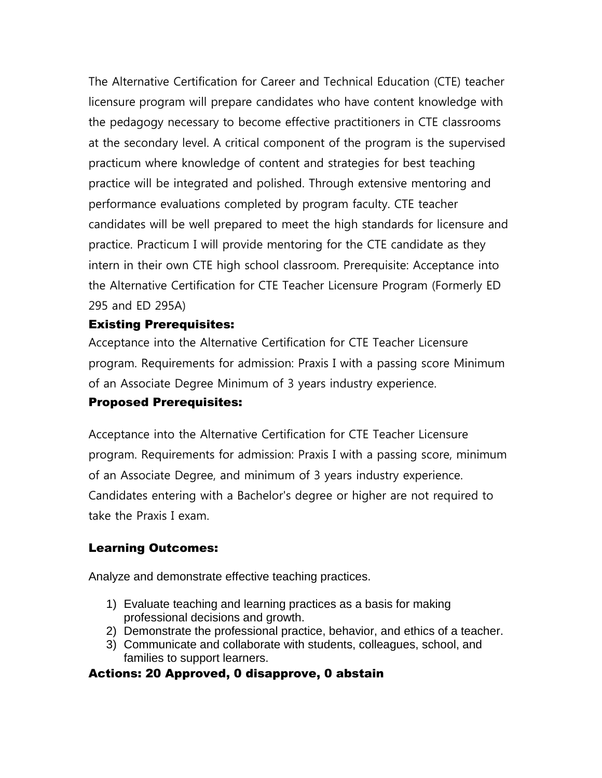The Alternative Certification for Career and Technical Education (CTE) teacher licensure program will prepare candidates who have content knowledge with the pedagogy necessary to become effective practitioners in CTE classrooms at the secondary level. A critical component of the program is the supervised practicum where knowledge of content and strategies for best teaching practice will be integrated and polished. Through extensive mentoring and performance evaluations completed by program faculty. CTE teacher candidates will be well prepared to meet the high standards for licensure and practice. Practicum I will provide mentoring for the CTE candidate as they intern in their own CTE high school classroom. Prerequisite: Acceptance into the Alternative Certification for CTE Teacher Licensure Program (Formerly ED 295 and ED 295A)

## Existing Prerequisites:

Acceptance into the Alternative Certification for CTE Teacher Licensure program. Requirements for admission: Praxis I with a passing score Minimum of an Associate Degree Minimum of 3 years industry experience.

## Proposed Prerequisites:

Acceptance into the Alternative Certification for CTE Teacher Licensure program. Requirements for admission: Praxis I with a passing score, minimum of an Associate Degree, and minimum of 3 years industry experience. Candidates entering with a Bachelor's degree or higher are not required to take the Praxis I exam.

## Learning Outcomes:

Analyze and demonstrate effective teaching practices.

- 1) Evaluate teaching and learning practices as a basis for making professional decisions and growth.
- 2) Demonstrate the professional practice, behavior, and ethics of a teacher.
- 3) Communicate and collaborate with students, colleagues, school, and families to support learners.

## Actions: 20 Approved, 0 disapprove, 0 abstain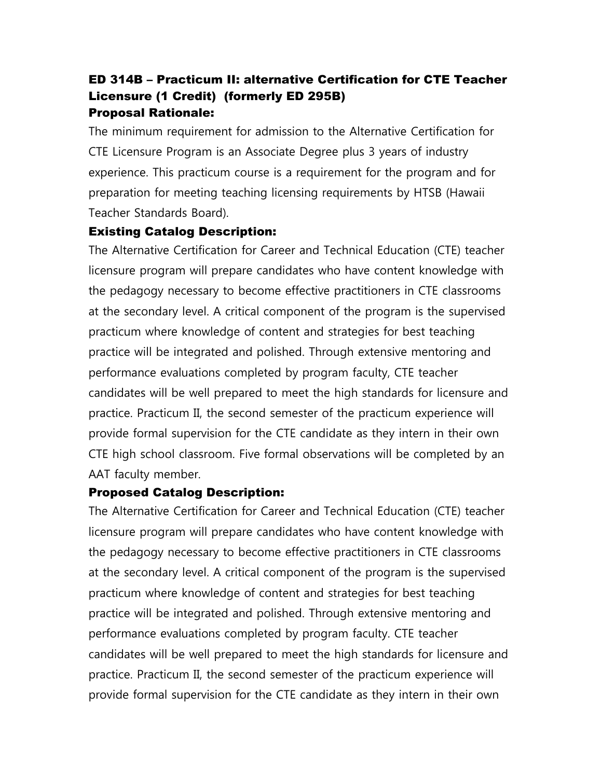# ED 314B – Practicum II: alternative Certification for CTE Teacher Licensure (1 Credit) (formerly ED 295B) Proposal Rationale:

The minimum requirement for admission to the Alternative Certification for CTE Licensure Program is an Associate Degree plus 3 years of industry experience. This practicum course is a requirement for the program and for preparation for meeting teaching licensing requirements by HTSB (Hawaii Teacher Standards Board).

## Existing Catalog Description:

The Alternative Certification for Career and Technical Education (CTE) teacher licensure program will prepare candidates who have content knowledge with the pedagogy necessary to become effective practitioners in CTE classrooms at the secondary level. A critical component of the program is the supervised practicum where knowledge of content and strategies for best teaching practice will be integrated and polished. Through extensive mentoring and performance evaluations completed by program faculty, CTE teacher candidates will be well prepared to meet the high standards for licensure and practice. Practicum II, the second semester of the practicum experience will provide formal supervision for the CTE candidate as they intern in their own CTE high school classroom. Five formal observations will be completed by an AAT faculty member.

## Proposed Catalog Description:

The Alternative Certification for Career and Technical Education (CTE) teacher licensure program will prepare candidates who have content knowledge with the pedagogy necessary to become effective practitioners in CTE classrooms at the secondary level. A critical component of the program is the supervised practicum where knowledge of content and strategies for best teaching practice will be integrated and polished. Through extensive mentoring and performance evaluations completed by program faculty. CTE teacher candidates will be well prepared to meet the high standards for licensure and practice. Practicum II, the second semester of the practicum experience will provide formal supervision for the CTE candidate as they intern in their own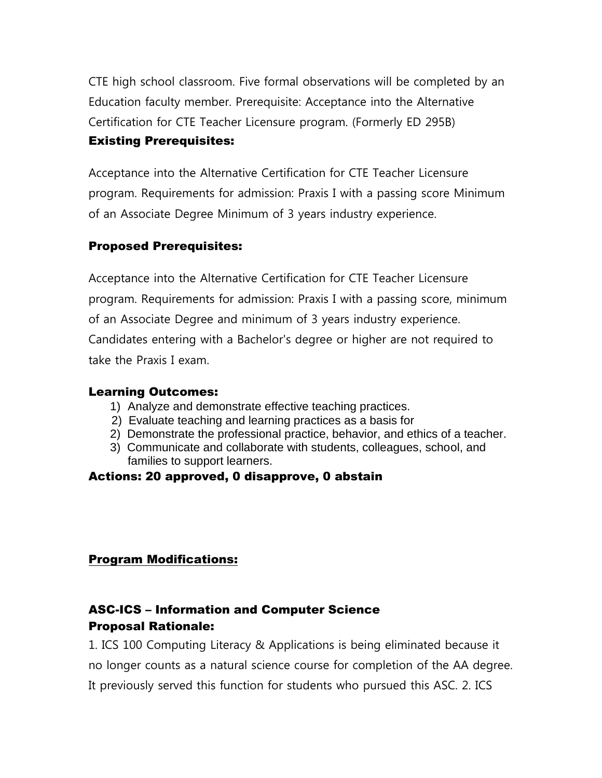CTE high school classroom. Five formal observations will be completed by an Education faculty member. Prerequisite: Acceptance into the Alternative Certification for CTE Teacher Licensure program. (Formerly ED 295B) Existing Prerequisites:

Acceptance into the Alternative Certification for CTE Teacher Licensure program. Requirements for admission: Praxis I with a passing score Minimum of an Associate Degree Minimum of 3 years industry experience.

## Proposed Prerequisites:

Acceptance into the Alternative Certification for CTE Teacher Licensure program. Requirements for admission: Praxis I with a passing score, minimum of an Associate Degree and minimum of 3 years industry experience. Candidates entering with a Bachelor's degree or higher are not required to take the Praxis I exam.

#### Learning Outcomes:

- 1) Analyze and demonstrate effective teaching practices.
- 2) Evaluate teaching and learning practices as a basis for
- 2) Demonstrate the professional practice, behavior, and ethics of a teacher.
- 3) Communicate and collaborate with students, colleagues, school, and families to support learners.

## Actions: 20 approved, 0 disapprove, 0 abstain

## Program Modifications:

# ASC-ICS – Information and Computer Science Proposal Rationale:

1. ICS 100 Computing Literacy & Applications is being eliminated because it no longer counts as a natural science course for completion of the AA degree. It previously served this function for students who pursued this ASC. 2. ICS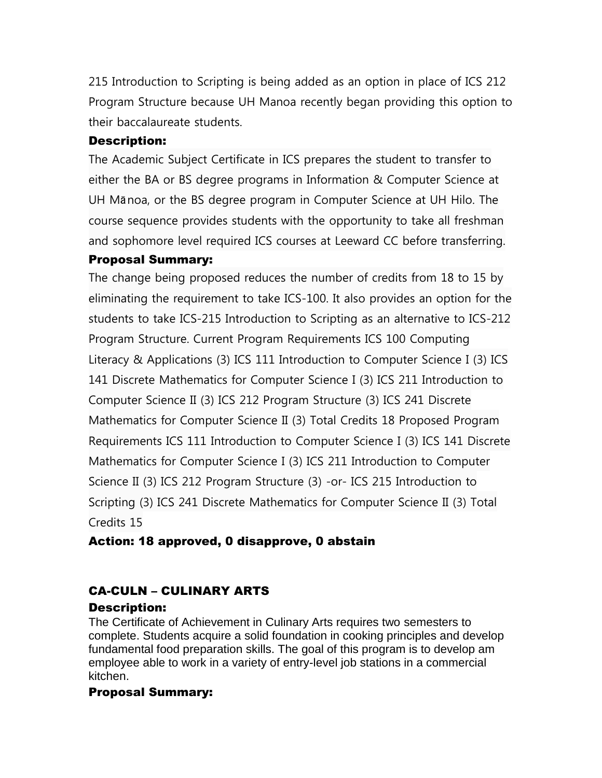215 Introduction to Scripting is being added as an option in place of ICS 212 Program Structure because UH Manoa recently began providing this option to their baccalaureate students.

## Description:

The Academic Subject Certificate in ICS prepares the student to transfer to either the BA or BS degree programs in Information & Computer Science at UH Mānoa, or the BS degree program in Computer Science at UH Hilo. The course sequence provides students with the opportunity to take all freshman and sophomore level required ICS courses at Leeward CC before transferring.

## Proposal Summary:

The change being proposed reduces the number of credits from 18 to 15 by eliminating the requirement to take ICS-100. It also provides an option for the students to take ICS-215 Introduction to Scripting as an alternative to ICS-212 Program Structure. Current Program Requirements ICS 100 Computing Literacy & Applications (3) ICS 111 Introduction to Computer Science I (3) ICS 141 Discrete Mathematics for Computer Science I (3) ICS 211 Introduction to Computer Science II (3) ICS 212 Program Structure (3) ICS 241 Discrete Mathematics for Computer Science II (3) Total Credits 18 Proposed Program Requirements ICS 111 Introduction to Computer Science I (3) ICS 141 Discrete Mathematics for Computer Science I (3) ICS 211 Introduction to Computer Science II (3) ICS 212 Program Structure (3) -or- ICS 215 Introduction to Scripting (3) ICS 241 Discrete Mathematics for Computer Science II (3) Total Credits 15

## Action: 18 approved, 0 disapprove, 0 abstain

# CA-CULN – CULINARY ARTS

## Description:

The Certificate of Achievement in Culinary Arts requires two semesters to complete. Students acquire a solid foundation in cooking principles and develop fundamental food preparation skills. The goal of this program is to develop am employee able to work in a variety of entry-level job stations in a commercial kitchen.

## Proposal Summary: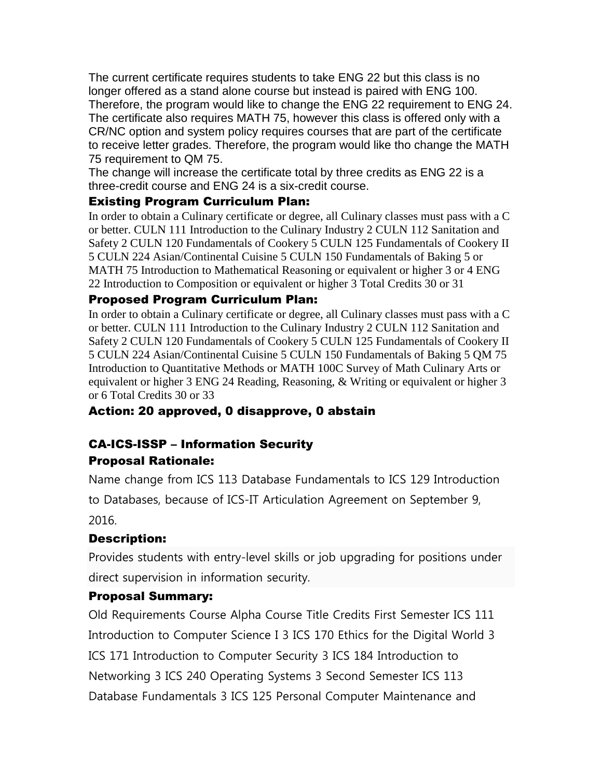The current certificate requires students to take ENG 22 but this class is no longer offered as a stand alone course but instead is paired with ENG 100. Therefore, the program would like to change the ENG 22 requirement to ENG 24. The certificate also requires MATH 75, however this class is offered only with a CR/NC option and system policy requires courses that are part of the certificate to receive letter grades. Therefore, the program would like tho change the MATH 75 requirement to QM 75.

The change will increase the certificate total by three credits as ENG 22 is a three-credit course and ENG 24 is a six-credit course.

## Existing Program Curriculum Plan:

In order to obtain a Culinary certificate or degree, all Culinary classes must pass with a C or better. CULN 111 Introduction to the Culinary Industry 2 CULN 112 Sanitation and Safety 2 CULN 120 Fundamentals of Cookery 5 CULN 125 Fundamentals of Cookery II 5 CULN 224 Asian/Continental Cuisine 5 CULN 150 Fundamentals of Baking 5 or MATH 75 Introduction to Mathematical Reasoning or equivalent or higher 3 or 4 ENG 22 Introduction to Composition or equivalent or higher 3 Total Credits 30 or 31

## Proposed Program Curriculum Plan:

In order to obtain a Culinary certificate or degree, all Culinary classes must pass with a C or better. CULN 111 Introduction to the Culinary Industry 2 CULN 112 Sanitation and Safety 2 CULN 120 Fundamentals of Cookery 5 CULN 125 Fundamentals of Cookery II 5 CULN 224 Asian/Continental Cuisine 5 CULN 150 Fundamentals of Baking 5 QM 75 Introduction to Quantitative Methods or MATH 100C Survey of Math Culinary Arts or equivalent or higher 3 ENG 24 Reading, Reasoning, & Writing or equivalent or higher 3 or 6 Total Credits 30 or 33

# Action: 20 approved, 0 disapprove, 0 abstain

# CA-ICS-ISSP – Information Security Proposal Rationale:

Name change from ICS 113 Database Fundamentals to ICS 129 Introduction to Databases, because of ICS-IT Articulation Agreement on September 9, 2016.

## Description:

Provides students with entry-level skills or job upgrading for positions under direct supervision in information security.

## Proposal Summary:

Old Requirements Course Alpha Course Title Credits First Semester ICS 111 Introduction to Computer Science I 3 ICS 170 Ethics for the Digital World 3 ICS 171 Introduction to Computer Security 3 ICS 184 Introduction to Networking 3 ICS 240 Operating Systems 3 Second Semester ICS 113 Database Fundamentals 3 ICS 125 Personal Computer Maintenance and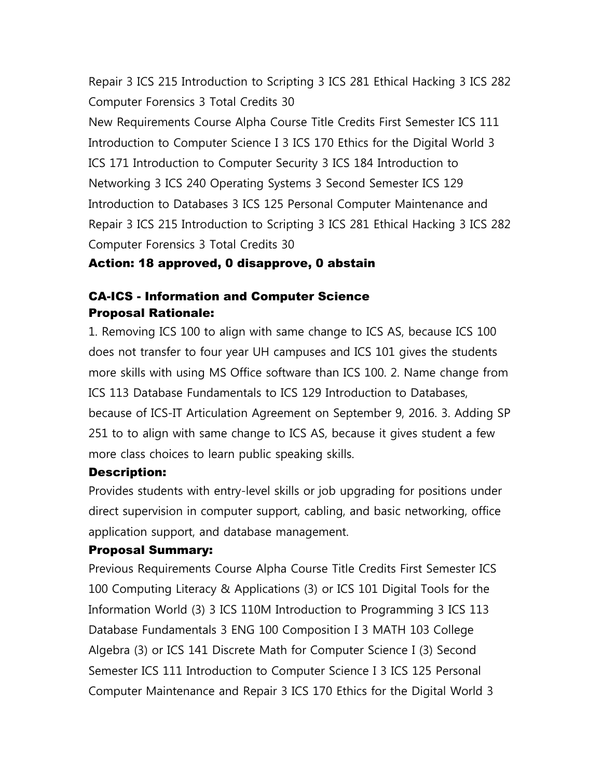Repair 3 ICS 215 Introduction to Scripting 3 ICS 281 Ethical Hacking 3 ICS 282 Computer Forensics 3 Total Credits 30

New Requirements Course Alpha Course Title Credits First Semester ICS 111 Introduction to Computer Science I 3 ICS 170 Ethics for the Digital World 3 ICS 171 Introduction to Computer Security 3 ICS 184 Introduction to Networking 3 ICS 240 Operating Systems 3 Second Semester ICS 129 Introduction to Databases 3 ICS 125 Personal Computer Maintenance and Repair 3 ICS 215 Introduction to Scripting 3 ICS 281 Ethical Hacking 3 ICS 282 Computer Forensics 3 Total Credits 30

#### Action: 18 approved, 0 disapprove, 0 abstain

#### CA-ICS - Information and Computer Science Proposal Rationale:

1. Removing ICS 100 to align with same change to ICS AS, because ICS 100 does not transfer to four year UH campuses and ICS 101 gives the students more skills with using MS Office software than ICS 100. 2. Name change from ICS 113 Database Fundamentals to ICS 129 Introduction to Databases, because of ICS-IT Articulation Agreement on September 9, 2016. 3. Adding SP 251 to to align with same change to ICS AS, because it gives student a few more class choices to learn public speaking skills.

#### Description:

Provides students with entry-level skills or job upgrading for positions under direct supervision in computer support, cabling, and basic networking, office application support, and database management.

#### Proposal Summary:

Previous Requirements Course Alpha Course Title Credits First Semester ICS 100 Computing Literacy & Applications (3) or ICS 101 Digital Tools for the Information World (3) 3 ICS 110M Introduction to Programming 3 ICS 113 Database Fundamentals 3 ENG 100 Composition I 3 MATH 103 College Algebra (3) or ICS 141 Discrete Math for Computer Science I (3) Second Semester ICS 111 Introduction to Computer Science I 3 ICS 125 Personal Computer Maintenance and Repair 3 ICS 170 Ethics for the Digital World 3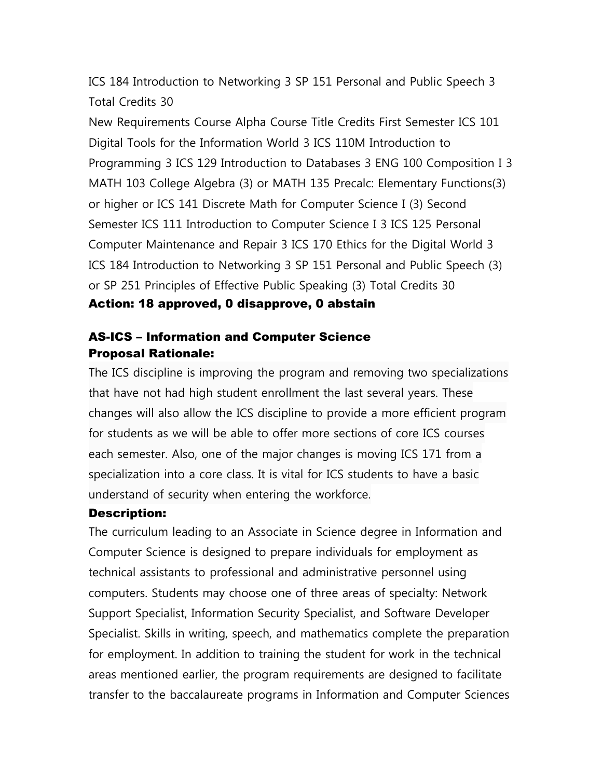ICS 184 Introduction to Networking 3 SP 151 Personal and Public Speech 3 Total Credits 30

New Requirements Course Alpha Course Title Credits First Semester ICS 101 Digital Tools for the Information World 3 ICS 110M Introduction to Programming 3 ICS 129 Introduction to Databases 3 ENG 100 Composition I 3 MATH 103 College Algebra (3) or MATH 135 Precalc: Elementary Functions(3) or higher or ICS 141 Discrete Math for Computer Science I (3) Second Semester ICS 111 Introduction to Computer Science I 3 ICS 125 Personal Computer Maintenance and Repair 3 ICS 170 Ethics for the Digital World 3 ICS 184 Introduction to Networking 3 SP 151 Personal and Public Speech (3) or SP 251 Principles of Effective Public Speaking (3) Total Credits 30

#### Action: 18 approved, 0 disapprove, 0 abstain

## AS-ICS – Information and Computer Science Proposal Rationale:

The ICS discipline is improving the program and removing two specializations that have not had high student enrollment the last several years. These changes will also allow the ICS discipline to provide a more efficient program for students as we will be able to offer more sections of core ICS courses each semester. Also, one of the major changes is moving ICS 171 from a specialization into a core class. It is vital for ICS students to have a basic understand of security when entering the workforce.

#### Description:

The curriculum leading to an Associate in Science degree in Information and Computer Science is designed to prepare individuals for employment as technical assistants to professional and administrative personnel using computers. Students may choose one of three areas of specialty: Network Support Specialist, Information Security Specialist, and Software Developer Specialist. Skills in writing, speech, and mathematics complete the preparation for employment. In addition to training the student for work in the technical areas mentioned earlier, the program requirements are designed to facilitate transfer to the baccalaureate programs in Information and Computer Sciences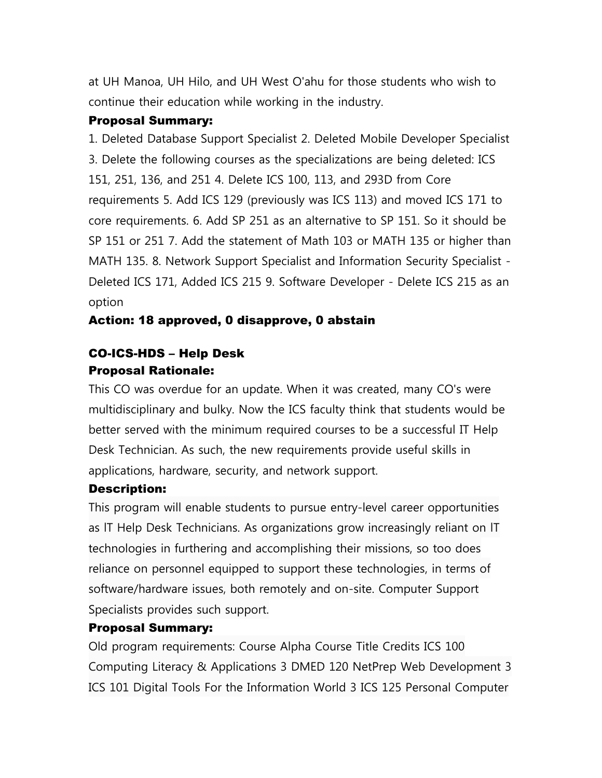at UH Manoa, UH Hilo, and UH West O'ahu for those students who wish to continue their education while working in the industry.

#### Proposal Summary:

1. Deleted Database Support Specialist 2. Deleted Mobile Developer Specialist 3. Delete the following courses as the specializations are being deleted: ICS 151, 251, 136, and 251 4. Delete ICS 100, 113, and 293D from Core requirements 5. Add ICS 129 (previously was ICS 113) and moved ICS 171 to core requirements. 6. Add SP 251 as an alternative to SP 151. So it should be SP 151 or 251 7. Add the statement of Math 103 or MATH 135 or higher than MATH 135. 8. Network Support Specialist and Information Security Specialist - Deleted ICS 171, Added ICS 215 9. Software Developer - Delete ICS 215 as an option

#### Action: 18 approved, 0 disapprove, 0 abstain

## CO-ICS-HDS – Help Desk Proposal Rationale:

This CO was overdue for an update. When it was created, many CO's were multidisciplinary and bulky. Now the ICS faculty think that students would be better served with the minimum required courses to be a successful IT Help Desk Technician. As such, the new requirements provide useful skills in applications, hardware, security, and network support.

#### Description:

This program will enable students to pursue entry-level career opportunities as lT Help Desk Technicians. As organizations grow increasingly reliant on lT technologies in furthering and accomplishing their missions, so too does reliance on personnel equipped to support these technologies, in terms of software/hardware issues, both remotely and on-site. Computer Support Specialists provides such support.

#### Proposal Summary:

Old program requirements: Course Alpha Course Title Credits ICS 100 Computing Literacy & Applications 3 DMED 120 NetPrep Web Development 3 ICS 101 Digital Tools For the Information World 3 ICS 125 Personal Computer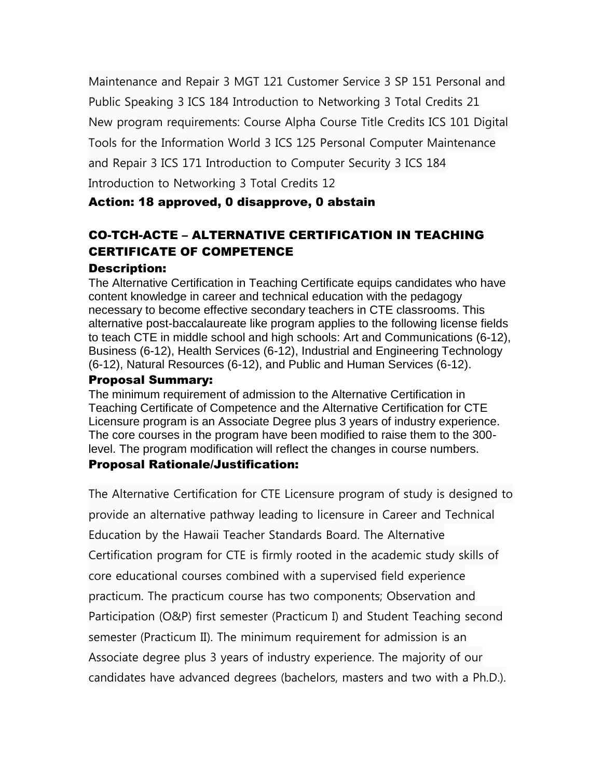Maintenance and Repair 3 MGT 121 Customer Service 3 SP 151 Personal and Public Speaking 3 ICS 184 Introduction to Networking 3 Total Credits 21 New program requirements: Course Alpha Course Title Credits ICS 101 Digital Tools for the Information World 3 ICS 125 Personal Computer Maintenance and Repair 3 ICS 171 Introduction to Computer Security 3 ICS 184 Introduction to Networking 3 Total Credits 12

## Action: 18 approved, 0 disapprove, 0 abstain

# CO-TCH-ACTE – ALTERNATIVE CERTIFICATION IN TEACHING CERTIFICATE OF COMPETENCE

#### Description:

The Alternative Certification in Teaching Certificate equips candidates who have content knowledge in career and technical education with the pedagogy necessary to become effective secondary teachers in CTE classrooms. This alternative post-baccalaureate like program applies to the following license fields to teach CTE in middle school and high schools: Art and Communications (6-12), Business (6-12), Health Services (6-12), Industrial and Engineering Technology (6-12), Natural Resources (6-12), and Public and Human Services (6-12).

#### Proposal Summary:

The minimum requirement of admission to the Alternative Certification in Teaching Certificate of Competence and the Alternative Certification for CTE Licensure program is an Associate Degree plus 3 years of industry experience. The core courses in the program have been modified to raise them to the 300 level. The program modification will reflect the changes in course numbers.

#### Proposal Rationale/Justification:

The Alternative Certification for CTE Licensure program of study is designed to provide an alternative pathway leading to licensure in Career and Technical Education by the Hawaii Teacher Standards Board. The Alternative Certification program for CTE is firmly rooted in the academic study skills of core educational courses combined with a supervised field experience practicum. The practicum course has two components; Observation and Participation (O&P) first semester (Practicum I) and Student Teaching second semester (Practicum II). The minimum requirement for admission is an Associate degree plus 3 years of industry experience. The majority of our candidates have advanced degrees (bachelors, masters and two with a Ph.D.).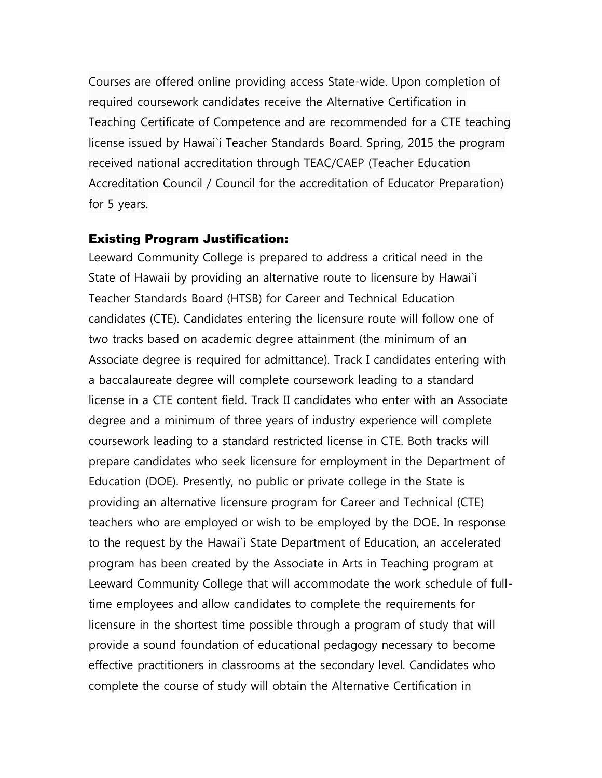Courses are offered online providing access State-wide. Upon completion of required coursework candidates receive the Alternative Certification in Teaching Certificate of Competence and are recommended for a CTE teaching license issued by Hawai`i Teacher Standards Board. Spring, 2015 the program received national accreditation through TEAC/CAEP (Teacher Education Accreditation Council / Council for the accreditation of Educator Preparation) for 5 years.

#### Existing Program Justification:

Leeward Community College is prepared to address a critical need in the State of Hawaii by providing an alternative route to licensure by Hawai`i Teacher Standards Board (HTSB) for Career and Technical Education candidates (CTE). Candidates entering the licensure route will follow one of two tracks based on academic degree attainment (the minimum of an Associate degree is required for admittance). Track I candidates entering with a baccalaureate degree will complete coursework leading to a standard license in a CTE content field. Track II candidates who enter with an Associate degree and a minimum of three years of industry experience will complete coursework leading to a standard restricted license in CTE. Both tracks will prepare candidates who seek licensure for employment in the Department of Education (DOE). Presently, no public or private college in the State is providing an alternative licensure program for Career and Technical (CTE) teachers who are employed or wish to be employed by the DOE. In response to the request by the Hawai`i State Department of Education, an accelerated program has been created by the Associate in Arts in Teaching program at Leeward Community College that will accommodate the work schedule of fulltime employees and allow candidates to complete the requirements for licensure in the shortest time possible through a program of study that will provide a sound foundation of educational pedagogy necessary to become effective practitioners in classrooms at the secondary level. Candidates who complete the course of study will obtain the Alternative Certification in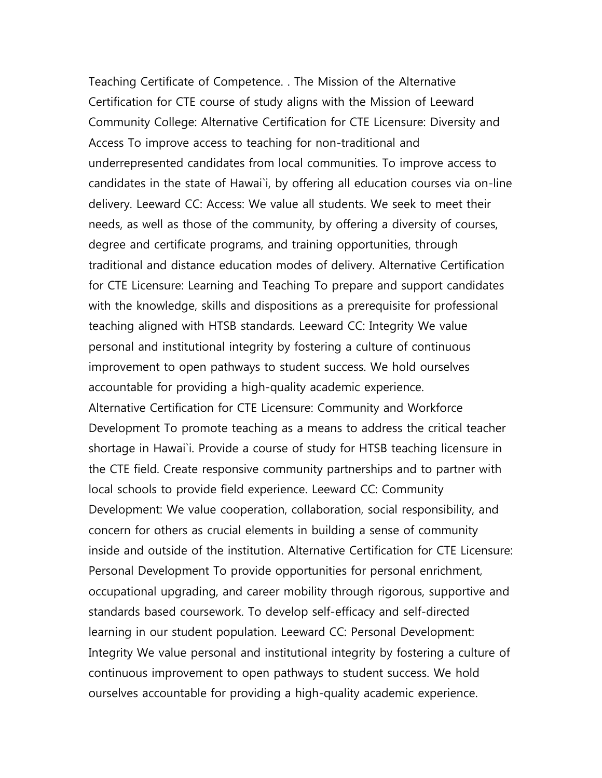Teaching Certificate of Competence. . The Mission of the Alternative Certification for CTE course of study aligns with the Mission of Leeward Community College: Alternative Certification for CTE Licensure: Diversity and Access To improve access to teaching for non-traditional and underrepresented candidates from local communities. To improve access to candidates in the state of Hawai`i, by offering all education courses via on-line delivery. Leeward CC: Access: We value all students. We seek to meet their needs, as well as those of the community, by offering a diversity of courses, degree and certificate programs, and training opportunities, through traditional and distance education modes of delivery. Alternative Certification for CTE Licensure: Learning and Teaching To prepare and support candidates with the knowledge, skills and dispositions as a prerequisite for professional teaching aligned with HTSB standards. Leeward CC: Integrity We value personal and institutional integrity by fostering a culture of continuous improvement to open pathways to student success. We hold ourselves accountable for providing a high-quality academic experience. Alternative Certification for CTE Licensure: Community and Workforce Development To promote teaching as a means to address the critical teacher shortage in Hawai`i. Provide a course of study for HTSB teaching licensure in the CTE field. Create responsive community partnerships and to partner with local schools to provide field experience. Leeward CC: Community Development: We value cooperation, collaboration, social responsibility, and concern for others as crucial elements in building a sense of community inside and outside of the institution. Alternative Certification for CTE Licensure: Personal Development To provide opportunities for personal enrichment, occupational upgrading, and career mobility through rigorous, supportive and standards based coursework. To develop self-efficacy and self-directed learning in our student population. Leeward CC: Personal Development: Integrity We value personal and institutional integrity by fostering a culture of continuous improvement to open pathways to student success. We hold ourselves accountable for providing a high-quality academic experience.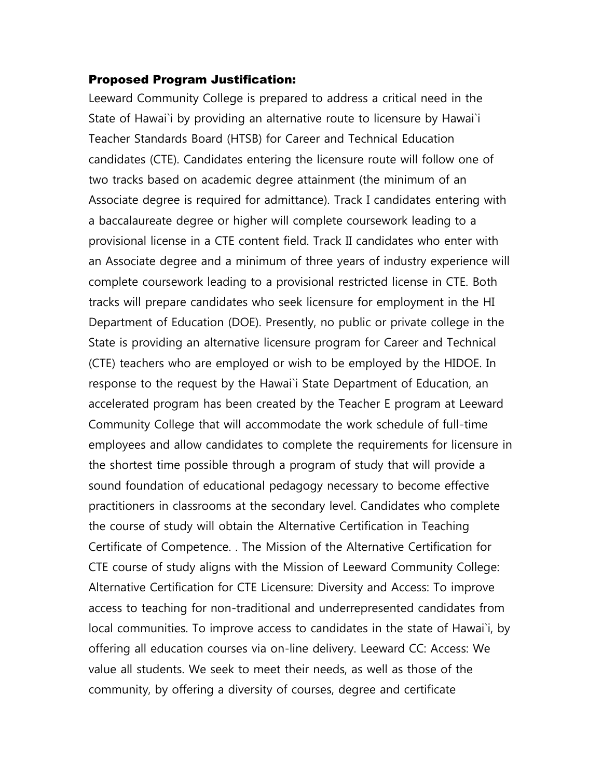#### Proposed Program Justification:

Leeward Community College is prepared to address a critical need in the State of Hawai`i by providing an alternative route to licensure by Hawai`i Teacher Standards Board (HTSB) for Career and Technical Education candidates (CTE). Candidates entering the licensure route will follow one of two tracks based on academic degree attainment (the minimum of an Associate degree is required for admittance). Track I candidates entering with a baccalaureate degree or higher will complete coursework leading to a provisional license in a CTE content field. Track II candidates who enter with an Associate degree and a minimum of three years of industry experience will complete coursework leading to a provisional restricted license in CTE. Both tracks will prepare candidates who seek licensure for employment in the HI Department of Education (DOE). Presently, no public or private college in the State is providing an alternative licensure program for Career and Technical (CTE) teachers who are employed or wish to be employed by the HIDOE. In response to the request by the Hawai`i State Department of Education, an accelerated program has been created by the Teacher E program at Leeward Community College that will accommodate the work schedule of full-time employees and allow candidates to complete the requirements for licensure in the shortest time possible through a program of study that will provide a sound foundation of educational pedagogy necessary to become effective practitioners in classrooms at the secondary level. Candidates who complete the course of study will obtain the Alternative Certification in Teaching Certificate of Competence. . The Mission of the Alternative Certification for CTE course of study aligns with the Mission of Leeward Community College: Alternative Certification for CTE Licensure: Diversity and Access: To improve access to teaching for non-traditional and underrepresented candidates from local communities. To improve access to candidates in the state of Hawai`i, by offering all education courses via on-line delivery. Leeward CC: Access: We value all students. We seek to meet their needs, as well as those of the community, by offering a diversity of courses, degree and certificate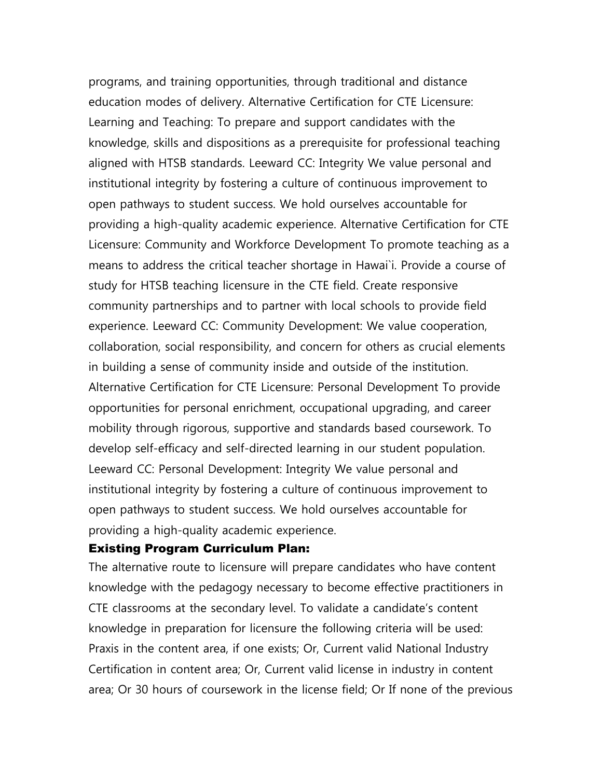programs, and training opportunities, through traditional and distance education modes of delivery. Alternative Certification for CTE Licensure: Learning and Teaching: To prepare and support candidates with the knowledge, skills and dispositions as a prerequisite for professional teaching aligned with HTSB standards. Leeward CC: Integrity We value personal and institutional integrity by fostering a culture of continuous improvement to open pathways to student success. We hold ourselves accountable for providing a high-quality academic experience. Alternative Certification for CTE Licensure: Community and Workforce Development To promote teaching as a means to address the critical teacher shortage in Hawai`i. Provide a course of study for HTSB teaching licensure in the CTE field. Create responsive community partnerships and to partner with local schools to provide field experience. Leeward CC: Community Development: We value cooperation, collaboration, social responsibility, and concern for others as crucial elements in building a sense of community inside and outside of the institution. Alternative Certification for CTE Licensure: Personal Development To provide opportunities for personal enrichment, occupational upgrading, and career mobility through rigorous, supportive and standards based coursework. To develop self-efficacy and self-directed learning in our student population. Leeward CC: Personal Development: Integrity We value personal and institutional integrity by fostering a culture of continuous improvement to open pathways to student success. We hold ourselves accountable for providing a high-quality academic experience.

#### Existing Program Curriculum Plan:

The alternative route to licensure will prepare candidates who have content knowledge with the pedagogy necessary to become effective practitioners in CTE classrooms at the secondary level. To validate a candidate's content knowledge in preparation for licensure the following criteria will be used: Praxis in the content area, if one exists; Or, Current valid National Industry Certification in content area; Or, Current valid license in industry in content area; Or 30 hours of coursework in the license field; Or If none of the previous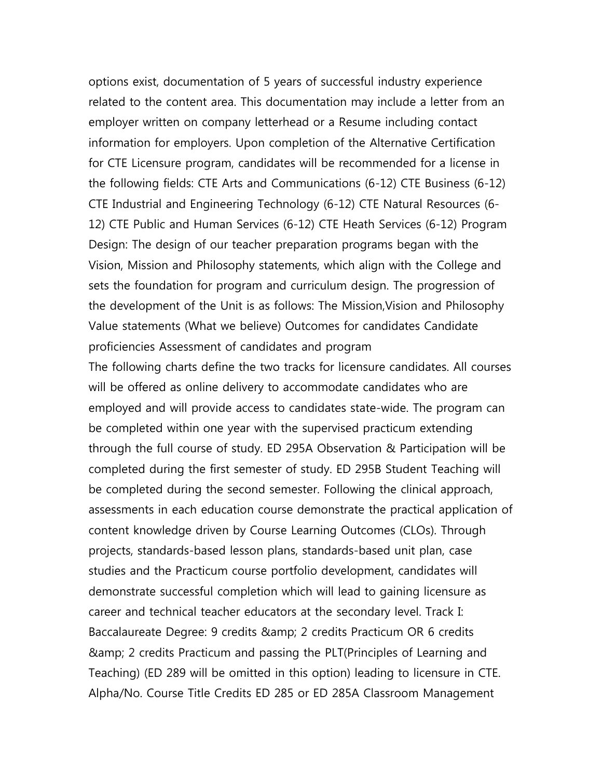options exist, documentation of 5 years of successful industry experience related to the content area. This documentation may include a letter from an employer written on company letterhead or a Resume including contact information for employers. Upon completion of the Alternative Certification for CTE Licensure program, candidates will be recommended for a license in the following fields: CTE Arts and Communications (6-12) CTE Business (6-12) CTE Industrial and Engineering Technology (6-12) CTE Natural Resources (6- 12) CTE Public and Human Services (6-12) CTE Heath Services (6-12) Program Design: The design of our teacher preparation programs began with the Vision, Mission and Philosophy statements, which align with the College and sets the foundation for program and curriculum design. The progression of the development of the Unit is as follows: The Mission,Vision and Philosophy Value statements (What we believe) Outcomes for candidates Candidate proficiencies Assessment of candidates and program

The following charts define the two tracks for licensure candidates. All courses will be offered as online delivery to accommodate candidates who are employed and will provide access to candidates state-wide. The program can be completed within one year with the supervised practicum extending through the full course of study. ED 295A Observation & Participation will be completed during the first semester of study. ED 295B Student Teaching will be completed during the second semester. Following the clinical approach, assessments in each education course demonstrate the practical application of content knowledge driven by Course Learning Outcomes (CLOs). Through projects, standards-based lesson plans, standards-based unit plan, case studies and the Practicum course portfolio development, candidates will demonstrate successful completion which will lead to gaining licensure as career and technical teacher educators at the secondary level. Track I: Baccalaureate Degree: 9 credits & 2 amp; 2 credits Practicum OR 6 credits & 2 credits Practicum and passing the PLT(Principles of Learning and Teaching) (ED 289 will be omitted in this option) leading to licensure in CTE. Alpha/No. Course Title Credits ED 285 or ED 285A Classroom Management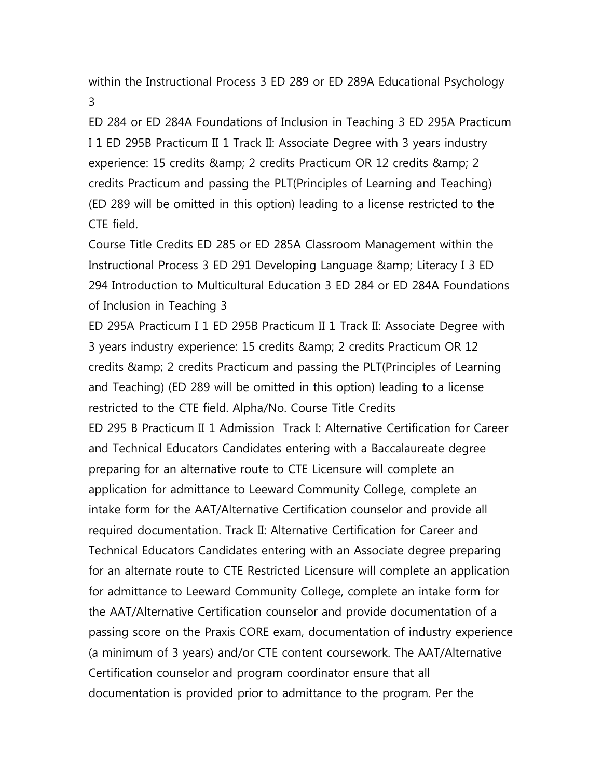within the Instructional Process 3 ED 289 or ED 289A Educational Psychology 3

ED 284 or ED 284A Foundations of Inclusion in Teaching 3 ED 295A Practicum I 1 ED 295B Practicum II 1 Track II: Associate Degree with 3 years industry experience: 15 credits & 2 amp; 2 credits Practicum OR 12 credits & 2 amp; 2 credits Practicum and passing the PLT(Principles of Learning and Teaching) (ED 289 will be omitted in this option) leading to a license restricted to the CTE field.

Course Title Credits ED 285 or ED 285A Classroom Management within the Instructional Process 3 ED 291 Developing Language & amp; Literacy I 3 ED 294 Introduction to Multicultural Education 3 ED 284 or ED 284A Foundations of Inclusion in Teaching 3

ED 295A Practicum I 1 ED 295B Practicum II 1 Track II: Associate Degree with 3 years industry experience: 15 credits & 2 amp; 2 credits Practicum OR 12 credits & 2 credits Practicum and passing the PLT (Principles of Learning and Teaching) (ED 289 will be omitted in this option) leading to a license restricted to the CTE field. Alpha/No. Course Title Credits ED 295 B Practicum II 1 Admission Track I: Alternative Certification for Career and Technical Educators Candidates entering with a Baccalaureate degree preparing for an alternative route to CTE Licensure will complete an application for admittance to Leeward Community College, complete an intake form for the AAT/Alternative Certification counselor and provide all required documentation. Track II: Alternative Certification for Career and Technical Educators Candidates entering with an Associate degree preparing for an alternate route to CTE Restricted Licensure will complete an application for admittance to Leeward Community College, complete an intake form for the AAT/Alternative Certification counselor and provide documentation of a passing score on the Praxis CORE exam, documentation of industry experience (a minimum of 3 years) and/or CTE content coursework. The AAT/Alternative Certification counselor and program coordinator ensure that all documentation is provided prior to admittance to the program. Per the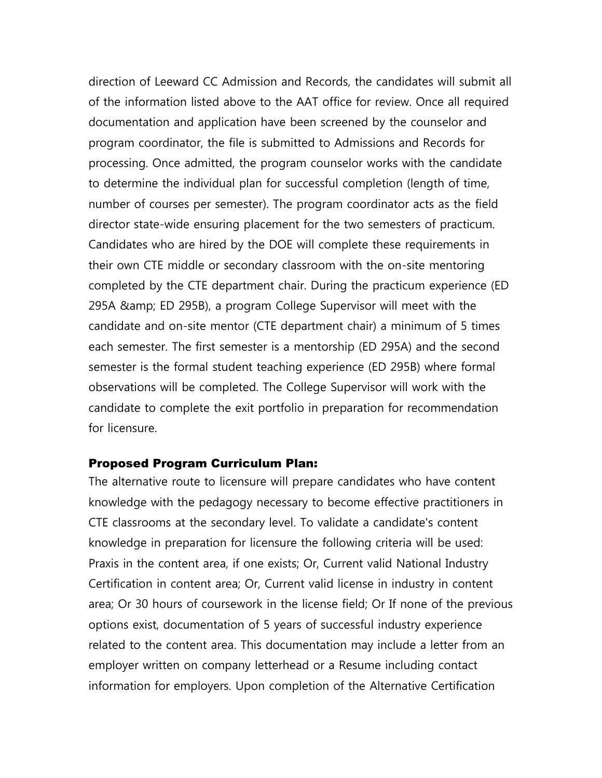direction of Leeward CC Admission and Records, the candidates will submit all of the information listed above to the AAT office for review. Once all required documentation and application have been screened by the counselor and program coordinator, the file is submitted to Admissions and Records for processing. Once admitted, the program counselor works with the candidate to determine the individual plan for successful completion (length of time, number of courses per semester). The program coordinator acts as the field director state-wide ensuring placement for the two semesters of practicum. Candidates who are hired by the DOE will complete these requirements in their own CTE middle or secondary classroom with the on-site mentoring completed by the CTE department chair. During the practicum experience (ED 295A & amp; ED 295B), a program College Supervisor will meet with the candidate and on-site mentor (CTE department chair) a minimum of 5 times each semester. The first semester is a mentorship (ED 295A) and the second semester is the formal student teaching experience (ED 295B) where formal observations will be completed. The College Supervisor will work with the candidate to complete the exit portfolio in preparation for recommendation for licensure.

#### Proposed Program Curriculum Plan:

The alternative route to licensure will prepare candidates who have content knowledge with the pedagogy necessary to become effective practitioners in CTE classrooms at the secondary level. To validate a candidate's content knowledge in preparation for licensure the following criteria will be used: Praxis in the content area, if one exists; Or, Current valid National Industry Certification in content area; Or, Current valid license in industry in content area; Or 30 hours of coursework in the license field; Or If none of the previous options exist, documentation of 5 years of successful industry experience related to the content area. This documentation may include a letter from an employer written on company letterhead or a Resume including contact information for employers. Upon completion of the Alternative Certification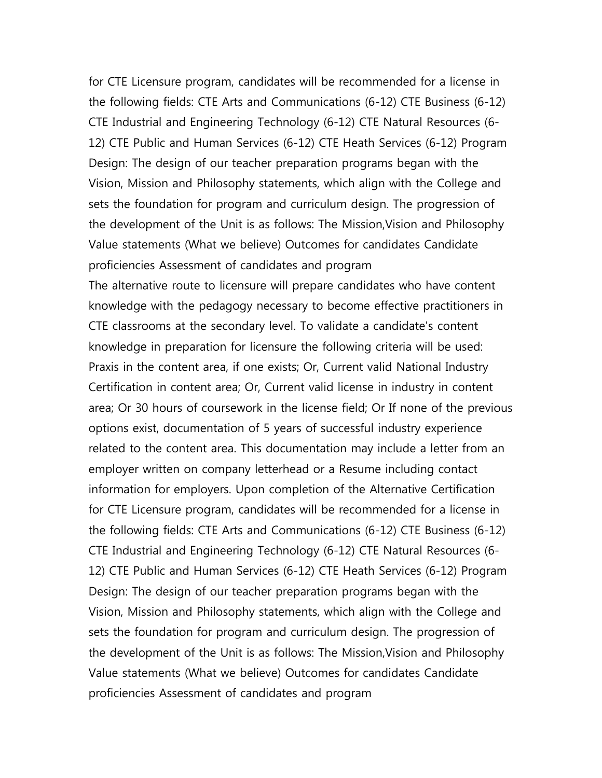for CTE Licensure program, candidates will be recommended for a license in the following fields: CTE Arts and Communications (6-12) CTE Business (6-12) CTE Industrial and Engineering Technology (6-12) CTE Natural Resources (6- 12) CTE Public and Human Services (6-12) CTE Heath Services (6-12) Program Design: The design of our teacher preparation programs began with the Vision, Mission and Philosophy statements, which align with the College and sets the foundation for program and curriculum design. The progression of the development of the Unit is as follows: The Mission,Vision and Philosophy Value statements (What we believe) Outcomes for candidates Candidate proficiencies Assessment of candidates and program

The alternative route to licensure will prepare candidates who have content knowledge with the pedagogy necessary to become effective practitioners in CTE classrooms at the secondary level. To validate a candidate's content knowledge in preparation for licensure the following criteria will be used: Praxis in the content area, if one exists; Or, Current valid National Industry Certification in content area; Or, Current valid license in industry in content area; Or 30 hours of coursework in the license field; Or If none of the previous options exist, documentation of 5 years of successful industry experience related to the content area. This documentation may include a letter from an employer written on company letterhead or a Resume including contact information for employers. Upon completion of the Alternative Certification for CTE Licensure program, candidates will be recommended for a license in the following fields: CTE Arts and Communications (6-12) CTE Business (6-12) CTE Industrial and Engineering Technology (6-12) CTE Natural Resources (6- 12) CTE Public and Human Services (6-12) CTE Heath Services (6-12) Program Design: The design of our teacher preparation programs began with the Vision, Mission and Philosophy statements, which align with the College and sets the foundation for program and curriculum design. The progression of the development of the Unit is as follows: The Mission,Vision and Philosophy Value statements (What we believe) Outcomes for candidates Candidate proficiencies Assessment of candidates and program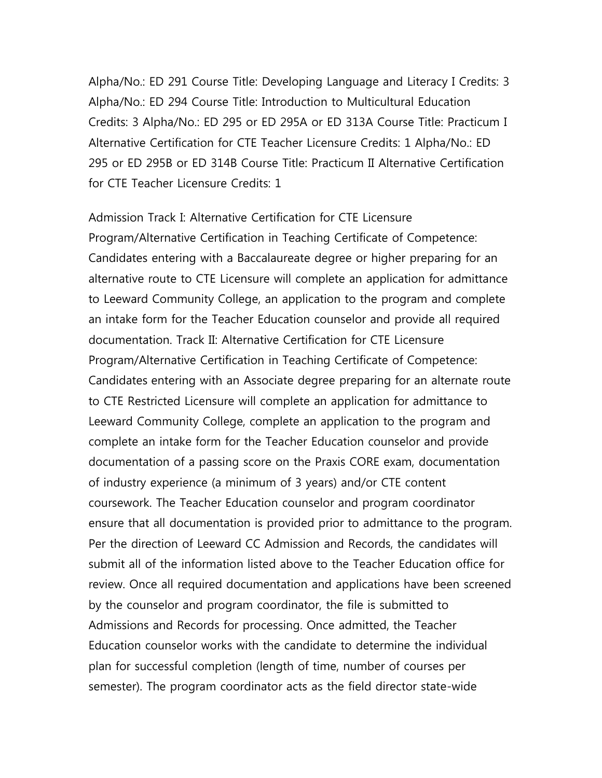Alpha/No.: ED 291 Course Title: Developing Language and Literacy I Credits: 3 Alpha/No.: ED 294 Course Title: Introduction to Multicultural Education Credits: 3 Alpha/No.: ED 295 or ED 295A or ED 313A Course Title: Practicum I Alternative Certification for CTE Teacher Licensure Credits: 1 Alpha/No.: ED 295 or ED 295B or ED 314B Course Title: Practicum II Alternative Certification for CTE Teacher Licensure Credits: 1

Admission Track I: Alternative Certification for CTE Licensure Program/Alternative Certification in Teaching Certificate of Competence: Candidates entering with a Baccalaureate degree or higher preparing for an alternative route to CTE Licensure will complete an application for admittance to Leeward Community College, an application to the program and complete an intake form for the Teacher Education counselor and provide all required documentation. Track II: Alternative Certification for CTE Licensure Program/Alternative Certification in Teaching Certificate of Competence: Candidates entering with an Associate degree preparing for an alternate route to CTE Restricted Licensure will complete an application for admittance to Leeward Community College, complete an application to the program and complete an intake form for the Teacher Education counselor and provide documentation of a passing score on the Praxis CORE exam, documentation of industry experience (a minimum of 3 years) and/or CTE content coursework. The Teacher Education counselor and program coordinator ensure that all documentation is provided prior to admittance to the program. Per the direction of Leeward CC Admission and Records, the candidates will submit all of the information listed above to the Teacher Education office for review. Once all required documentation and applications have been screened by the counselor and program coordinator, the file is submitted to Admissions and Records for processing. Once admitted, the Teacher Education counselor works with the candidate to determine the individual plan for successful completion (length of time, number of courses per semester). The program coordinator acts as the field director state-wide